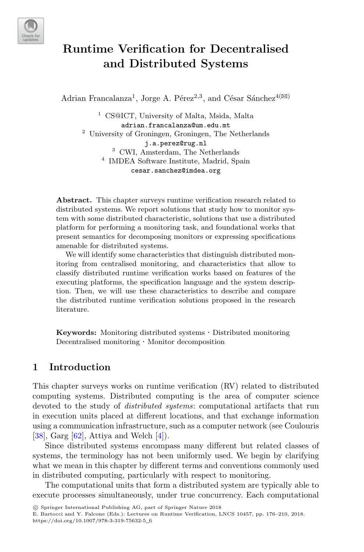

# **Runtime Verification for Decentralised and Distributed Systems**

Adrian Francalanza<sup>1</sup>, Jorge A. Pérez<sup>2,3</sup>, and César Sánchez<sup>4( $\boxtimes$ )</sup>

<sup>1</sup> CS@ICT, University of Malta, Msida, Malta adrian.francalanza@um.edu.mt <sup>2</sup> University of Groningen, Groningen, The Netherlands j.a.perez@rug.nl <sup>3</sup> CWI, Amsterdam, The Netherlands <sup>4</sup> IMDEA Software Institute, Madrid, Spain cesar.sanchez@imdea.org

**Abstract.** This chapter surveys runtime verification research related to distributed systems. We report solutions that study how to monitor system with some distributed characteristic, solutions that use a distributed platform for performing a monitoring task, and foundational works that present semantics for decomposing monitors or expressing specifications amenable for distributed systems.

We will identify some characteristics that distinguish distributed monitoring from centralised monitoring, and characteristics that allow to classify distributed runtime verification works based on features of the executing platforms, the specification language and the system description. Then, we will use these characteristics to describe and compare the distributed runtime verification solutions proposed in the research literature.

**Keywords:** Monitoring distributed systems · Distributed monitoring Decentralised monitoring · Monitor decomposition

# **1 Introduction**

This chapter surveys works on runtime verification (RV) related to distributed computing systems. Distributed computing is the area of computer science devoted to the study of *distributed systems*: computational artifacts that run in execution units placed at different locations, and that exchange information using a communication infrastructure, such as a computer network (see Coulouris [\[38](#page-32-0)], Garg [\[62\]](#page-33-0), Attiya and Welch [\[4](#page-29-0)]).

Since distributed systems encompass many different but related classes of systems, the terminology has not been uniformly used. We begin by clarifying what we mean in this chapter by different terms and conventions commonly used in distributed computing, particularly with respect to monitoring.

The computational units that form a distributed system are typically able to execute processes simultaneously, under true concurrency. Each computational

-c Springer International Publishing AG, part of Springer Nature 2018

E. Bartocci and Y. Falcone (Eds.): Lectures on Runtime Verification, LNCS 10457, pp. 176–210, 2018. https://doi.org/10.1007/978-3-319-75632-5\_6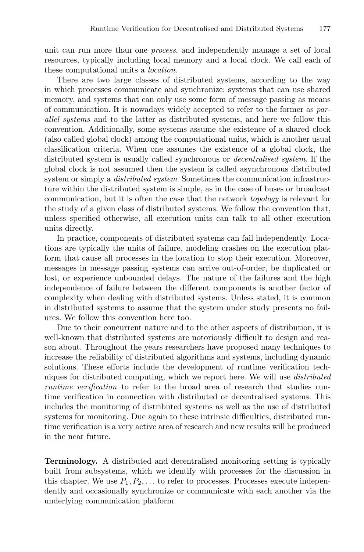unit can run more than one *process*, and independently manage a set of local resources, typically including local memory and a local clock. We call each of these computational units a *location*.

There are two large classes of distributed systems, according to the way in which processes communicate and synchronize: systems that can use shared memory, and systems that can only use some form of message passing as means of communication. It is nowadays widely accepted to refer to the former as *parallel systems* and to the latter as distributed systems, and here we follow this convention. Additionally, some systems assume the existence of a shared clock (also called global clock) among the computational units, which is another usual classification criteria. When one assumes the existence of a global clock, the distributed system is usually called synchronous or *decentralised system*. If the global clock is not assumed then the system is called asynchronous distributed system or simply a *distributed system*. Sometimes the communication infrastructure within the distributed system is simple, as in the case of buses or broadcast communication, but it is often the case that the network *topology* is relevant for the study of a given class of distributed systems. We follow the convention that, unless specified otherwise, all execution units can talk to all other execution units directly.

In practice, components of distributed systems can fail independently. Locations are typically the units of failure, modeling crashes on the execution platform that cause all processes in the location to stop their execution. Moreover, messages in message passing systems can arrive out-of-order, be duplicated or lost, or experience unbounded delays. The nature of the failures and the high independence of failure between the different components is another factor of complexity when dealing with distributed systems. Unless stated, it is common in distributed systems to assume that the system under study presents no failures. We follow this convention here too.

Due to their concurrent nature and to the other aspects of distribution, it is well-known that distributed systems are notoriously difficult to design and reason about. Throughout the years researchers have proposed many techniques to increase the reliability of distributed algorithms and systems, including dynamic solutions. These efforts include the development of runtime verification techniques for distributed computing, which we report here. We will use *distributed runtime verification* to refer to the broad area of research that studies runtime verification in connection with distributed or decentralised systems. This includes the monitoring of distributed systems as well as the use of distributed systems for monitoring. Due again to these intrinsic difficulties, distributed runtime verification is a very active area of research and new results will be produced in the near future.

**Terminology.** A distributed and decentralised monitoring setting is typically built from subsystems, which we identify with processes for the discussion in this chapter. We use  $P_1, P_2, \ldots$  to refer to processes. Processes execute independently and occasionally synchronize or communicate with each another via the underlying communication platform.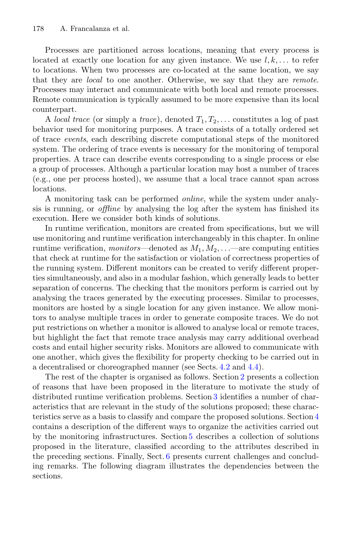Processes are partitioned across locations, meaning that every process is located at exactly one location for any given instance. We use  $l, k, \ldots$  to refer to locations. When two processes are co-located at the same location, we say that they are *local* to one another. Otherwise, we say that they are *remote*. Processes may interact and communicate with both local and remote processes. Remote communication is typically assumed to be more expensive than its local counterpart.

A *local trace* (or simply a *trace*), denoted  $T_1, T_2, \ldots$  constitutes a log of past behavior used for monitoring purposes. A trace consists of a totally ordered set of trace *events*, each describing discrete computational steps of the monitored system. The ordering of trace events is necessary for the monitoring of temporal properties. A trace can describe events corresponding to a single process or else a group of processes. Although a particular location may host a number of traces (e.g., one per process hosted), we assume that a local trace cannot span across locations.

A monitoring task can be performed *online*, while the system under analysis is running, or *offline* by analysing the log after the system has finished its execution. Here we consider both kinds of solutions.

In runtime verification, monitors are created from specifications, but we will use monitoring and runtime verification interchangeably in this chapter. In online runtime verification, *monitors*—denoted as  $M_1, M_2, \ldots$ —are computing entities that check at runtime for the satisfaction or violation of correctness properties of the running system. Different monitors can be created to verify different properties simultaneously, and also in a modular fashion, which generally leads to better separation of concerns. The checking that the monitors perform is carried out by analysing the traces generated by the executing processes. Similar to processes, monitors are hosted by a single location for any given instance. We allow monitors to analyse multiple traces in order to generate composite traces. We do not put restrictions on whether a monitor is allowed to analyse local or remote traces, but highlight the fact that remote trace analysis may carry additional overhead costs and entail higher security risks. Monitors are allowed to communicate with one another, which gives the flexibility for property checking to be carried out in a decentralised or choreographed manner (see Sects. [4.2](#page-11-0) and [4.4\)](#page-14-0).

The rest of the chapter is organised as follows. Section [2](#page-3-0) presents a collection of reasons that have been proposed in the literature to motivate the study of distributed runtime verification problems. Section [3](#page-6-0) identifies a number of characteristics that are relevant in the study of the solutions proposed; these characteristics serve as a basis to classify and compare the proposed solutions. Section [4](#page-11-1) contains a description of the different ways to organize the activities carried out by the monitoring infrastructures. Section [5](#page-15-0) describes a collection of solutions proposed in the literature, classified according to the attributes described in the preceding sections. Finally, Sect. [6](#page-26-0) presents current challenges and concluding remarks. The following diagram illustrates the dependencies between the sections.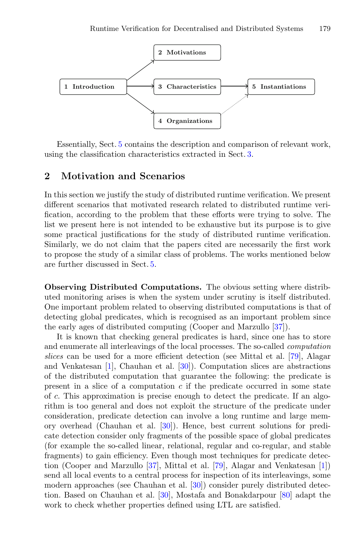

Essentially, Sect. [5](#page-15-0) contains the description and comparison of relevant work, using the classification characteristics extracted in Sect. [3.](#page-6-0)

## <span id="page-3-0"></span>**2 Motivation and Scenarios**

In this section we justify the study of distributed runtime verification. We present different scenarios that motivated research related to distributed runtime verification, according to the problem that these efforts were trying to solve. The list we present here is not intended to be exhaustive but its purpose is to give some practical justifications for the study of distributed runtime verification. Similarly, we do not claim that the papers cited are necessarily the first work to propose the study of a similar class of problems. The works mentioned below are further discussed in Sect. [5.](#page-15-0)

**Observing Distributed Computations.** The obvious setting where distributed monitoring arises is when the system under scrutiny is itself distributed. One important problem related to observing distributed computations is that of detecting global predicates, which is recognised as an important problem since the early ages of distributed computing (Cooper and Marzullo [\[37](#page-31-0)]).

It is known that checking general predicates is hard, since one has to store and enumerate all interleavings of the local processes. The so-called *computation slices* can be used for a more efficient detection (see Mittal et al. [\[79\]](#page-34-0), Alagar and Venkatesan [\[1\]](#page-29-1), Chauhan et al. [\[30\]](#page-31-1)). Computation slices are abstractions of the distributed computation that guarantee the following: the predicate is present in a slice of a computation  $c$  if the predicate occurred in some state of c. This approximation is precise enough to detect the predicate. If an algorithm is too general and does not exploit the structure of the predicate under consideration, predicate detection can involve a long runtime and large memory overhead (Chauhan et al. [\[30\]](#page-31-1)). Hence, best current solutions for predicate detection consider only fragments of the possible space of global predicates (for example the so-called linear, relational, regular and co-regular, and stable fragments) to gain efficiency. Even though most techniques for predicate detection (Cooper and Marzullo [\[37](#page-31-0)], Mittal et al. [\[79\]](#page-34-0), Alagar and Venkatesan [\[1\]](#page-29-1)) send all local events to a central process for inspection of its interleavings, some modern approaches (see Chauhan et al. [\[30](#page-31-1)]) consider purely distributed detection. Based on Chauhan et al. [\[30](#page-31-1)], Mostafa and Bonakdarpour [\[80](#page-34-1)] adapt the work to check whether properties defined using LTL are satisfied.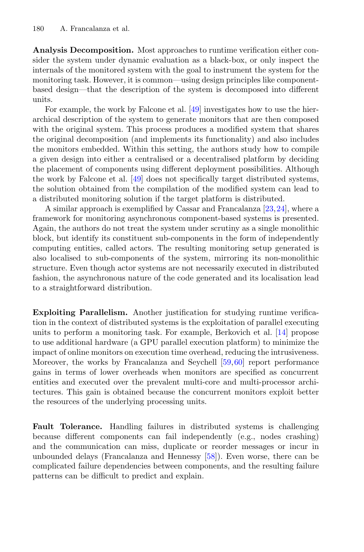**Analysis Decomposition.** Most approaches to runtime verification either consider the system under dynamic evaluation as a black-box, or only inspect the internals of the monitored system with the goal to instrument the system for the monitoring task. However, it is common—using design principles like componentbased design—that the description of the system is decomposed into different units.

For example, the work by Falcone et al. [\[49\]](#page-32-1) investigates how to use the hierarchical description of the system to generate monitors that are then composed with the original system. This process produces a modified system that shares the original decomposition (and implements its functionality) and also includes the monitors embedded. Within this setting, the authors study how to compile a given design into either a centralised or a decentralised platform by deciding the placement of components using different deployment possibilities. Although the work by Falcone et al. [\[49](#page-32-1)] does not specifically target distributed systems, the solution obtained from the compilation of the modified system can lead to a distributed monitoring solution if the target platform is distributed.

A similar approach is exemplified by Cassar and Francalanza [\[23](#page-31-2)[,24](#page-31-3)], where a framework for monitoring asynchronous component-based systems is presented. Again, the authors do not treat the system under scrutiny as a single monolithic block, but identify its constituent sub-components in the form of independently computing entities, called actors. The resulting monitoring setup generated is also localised to sub-components of the system, mirroring its non-monolithic structure. Even though actor systems are not necessarily executed in distributed fashion, the asynchronous nature of the code generated and its localisation lead to a straightforward distribution.

**Exploiting Parallelism.** Another justification for studying runtime verification in the context of distributed systems is the exploitation of parallel executing units to perform a monitoring task. For example, Berkovich et al. [\[14](#page-30-0)] propose to use additional hardware (a GPU parallel execution platform) to minimize the impact of online monitors on execution time overhead, reducing the intrusiveness. Moreover, the works by Francalanza and Seychell [\[59](#page-33-1),[60\]](#page-33-2) report performance gains in terms of lower overheads when monitors are specified as concurrent entities and executed over the prevalent multi-core and multi-processor architectures. This gain is obtained because the concurrent monitors exploit better the resources of the underlying processing units.

**Fault Tolerance.** Handling failures in distributed systems is challenging because different components can fail independently (e.g., nodes crashing) and the communication can miss, duplicate or reorder messages or incur in unbounded delays (Francalanza and Hennessy [\[58\]](#page-33-3)). Even worse, there can be complicated failure dependencies between components, and the resulting failure patterns can be difficult to predict and explain.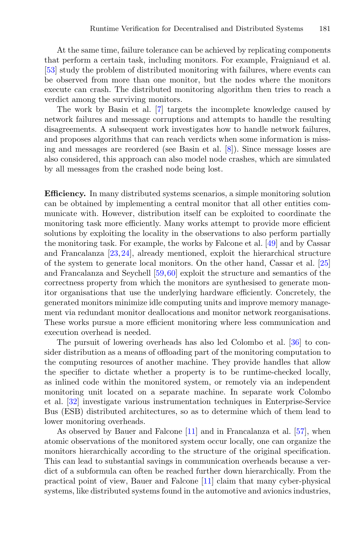At the same time, failure tolerance can be achieved by replicating components that perform a certain task, including monitors. For example, Fraigniaud et al. [\[53](#page-32-2)] study the problem of distributed monitoring with failures, where events can be observed from more than one monitor, but the nodes where the monitors execute can crash. The distributed monitoring algorithm then tries to reach a verdict among the surviving monitors.

The work by Basin et al. [\[7\]](#page-30-1) targets the incomplete knowledge caused by network failures and message corruptions and attempts to handle the resulting disagreements. A subsequent work investigates how to handle network failures, and proposes algorithms that can reach verdicts when some information is missing and messages are reordered (see Basin et al. [\[8](#page-30-2)]). Since message losses are also considered, this approach can also model node crashes, which are simulated by all messages from the crashed node being lost.

**Efficiency.** In many distributed systems scenarios, a simple monitoring solution can be obtained by implementing a central monitor that all other entities communicate with. However, distribution itself can be exploited to coordinate the monitoring task more efficiently. Many works attempt to provide more efficient solutions by exploiting the locality in the observations to also perform partially the monitoring task. For example, the works by Falcone et al. [\[49\]](#page-32-1) and by Cassar and Francalanza [\[23,](#page-31-2)[24](#page-31-3)], already mentioned, exploit the hierarchical structure of the system to generate local monitors. On the other hand, Cassar et al. [\[25\]](#page-31-4) and Francalanza and Seychell [\[59](#page-33-1),[60\]](#page-33-2) exploit the structure and semantics of the correctness property from which the monitors are synthesised to generate monitor organisations that use the underlying hardware efficiently. Concretely, the generated monitors minimize idle computing units and improve memory management via redundant monitor deallocations and monitor network reorganisations. These works pursue a more efficient monitoring where less communication and execution overhead is needed.

The pursuit of lowering overheads has also led Colombo et al. [\[36](#page-31-5)] to consider distribution as a means of offloading part of the monitoring computation to the computing resources of another machine. They provide handles that allow the specifier to dictate whether a property is to be runtime-checked locally, as inlined code within the monitored system, or remotely via an independent monitoring unit located on a separate machine. In separate work Colombo et al. [\[32](#page-31-6)] investigate various instrumentation techniques in Enterprise-Service Bus (ESB) distributed architectures, so as to determine which of them lead to lower monitoring overheads.

As observed by Bauer and Falcone [\[11](#page-30-3)] and in Francalanza et al. [\[57\]](#page-33-4), when atomic observations of the monitored system occur locally, one can organize the monitors hierarchically according to the structure of the original specification. This can lead to substantial savings in communication overheads because a verdict of a subformula can often be reached further down hierarchically. From the practical point of view, Bauer and Falcone [\[11\]](#page-30-3) claim that many cyber-physical systems, like distributed systems found in the automotive and avionics industries,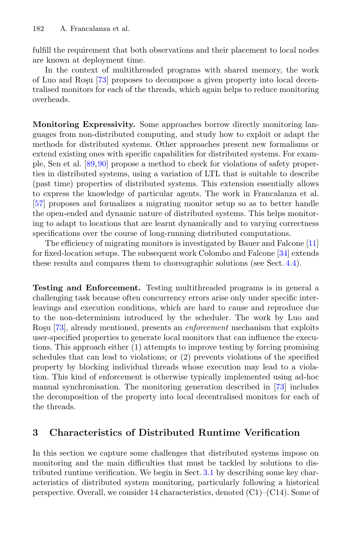fulfill the requirement that both observations and their placement to local nodes are known at deployment time.

In the context of multithreaded programs with shared memory, the work of Luo and Rosu [\[73](#page-33-5)] proposes to decompose a given property into local decentralised monitors for each of the threads, which again helps to reduce monitoring overheads.

**Monitoring Expressivity.** Some approaches borrow directly monitoring languages from non-distributed computing, and study how to exploit or adapt the methods for distributed systems. Other approaches present new formalisms or extend existing ones with specific capabilities for distributed systems. For example, Sen et al. [\[89,](#page-34-2)[90](#page-34-3)] propose a method to check for violations of safety properties in distributed systems, using a variation of LTL that is suitable to describe (past time) properties of distributed systems. This extension essentially allows to express the knowledge of particular agents. The work in Francalanza et al. [\[57](#page-33-4)] proposes and formalizes a migrating monitor setup so as to better handle the open-ended and dynamic nature of distributed systems. This helps monitoring to adapt to locations that are learnt dynamically and to varying correctness specifications over the course of long-running distributed computations.

The efficiency of migrating monitors is investigated by Bauer and Falcone [\[11](#page-30-3)] for fixed-location setups. The subsequent work Colombo and Falcone [\[34](#page-31-7)] extends these results and compares them to choreographic solutions (see Sect. [4.4\)](#page-14-0).

**Testing and Enforcement.** Testing multithreaded programs is in general a challenging task because often concurrency errors arise only under specific interleavings and execution conditions, which are hard to cause and reproduce due to the non-determinism introduced by the scheduler. The work by Luo and Ro<sub>su</sub> [\[73\]](#page-33-5), already mentioned, presents an *enforcement* mechanism that exploits user-specified properties to generate local monitors that can influence the executions. This approach either (1) attempts to improve testing by forcing promising schedules that can lead to violations; or (2) prevents violations of the specified property by blocking individual threads whose execution may lead to a violation. This kind of enforcement is otherwise typically implemented using ad-hoc manual synchronisation. The monitoring generation described in [\[73](#page-33-5)] includes the decomposition of the property into local decentralised monitors for each of the threads.

# <span id="page-6-0"></span>**3 Characteristics of Distributed Runtime Verification**

In this section we capture some challenges that distributed systems impose on monitoring and the main difficulties that must be tackled by solutions to distributed runtime verification. We begin in Sect. [3.1](#page-7-0) by describing some key characteristics of distributed system monitoring, particularly following a historical perspective. Overall, we consider 14 characteristics, denoted (C1)–(C14). Some of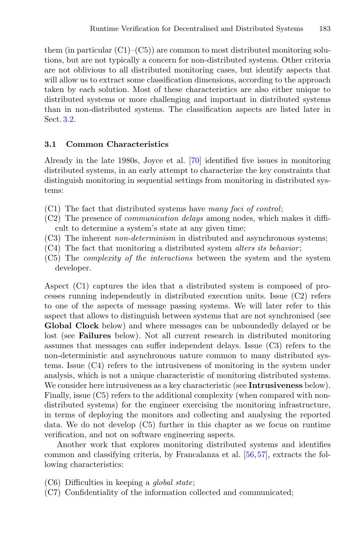them (in particular  $(C1)$ – $(C5)$ ) are common to most distributed monitoring solutions, but are not typically a concern for non-distributed systems. Other criteria are not oblivious to all distributed monitoring cases, but identify aspects that will allow us to extract some classification dimensions, according to the approach taken by each solution. Most of these characteristics are also either unique to distributed systems or more challenging and important in distributed systems than in non-distributed systems. The classification aspects are listed later in Sect. [3.2.](#page-9-0)

## <span id="page-7-0"></span>**3.1 Common Characteristics**

Already in the late 1980s, Joyce et al. [\[70\]](#page-33-6) identified five issues in monitoring distributed systems, in an early attempt to characterize the key constraints that distinguish monitoring in sequential settings from monitoring in distributed systems:

- (C1) The fact that distributed systems have *many foci of control*;
- (C2) The presence of *communication delays* among nodes, which makes it difficult to determine a system's state at any given time;
- (C3) The inherent *non-determinism* in distributed and asynchronous systems;
- (C4) The fact that monitoring a distributed system *alters its behavior* ;
- (C5) The *complexity of the interactions* between the system and the system developer.

Aspect (C1) captures the idea that a distributed system is composed of processes running independently in distributed execution units. Issue (C2) refers to one of the aspects of message passing systems. We will later refer to this aspect that allows to distinguish between systems that are not synchronised (see **Global Clock** below) and where messages can be unboundedly delayed or be lost (see **Failures** below). Not all current research in distributed monitoring assumes that messages can suffer independent delays. Issue (C3) refers to the non-deterministic and asynchronous nature common to many distributed systems. Issue (C4) refers to the intrusiveness of monitoring in the system under analysis, which is not a unique characteristic of monitoring distributed systems. We consider here intrusiveness as a key characteristic (see **Intrusiveness** below). Finally, issue (C5) refers to the additional complexity (when compared with nondistributed systems) for the engineer exercising the monitoring infrastructure, in terms of deploying the monitors and collecting and analysing the reported data. We do not develop (C5) further in this chapter as we focus on runtime verification, and not on software engineering aspects.

Another work that explores monitoring distributed systems and identifies common and classifying criteria, by Francalanza et al. [\[56,](#page-33-7)[57\]](#page-33-4), extracts the following characteristics:

- (C6) Difficulties in keeping a *global state*;
- (C7) Confidentiality of the information collected and communicated;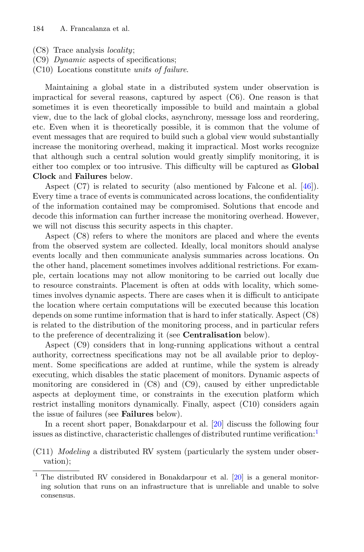- (C8) Trace analysis *locality*;
- (C9) *Dynamic* aspects of specifications;
- (C10) Locations constitute *units of failure*.

Maintaining a global state in a distributed system under observation is impractical for several reasons, captured by aspect (C6). One reason is that sometimes it is even theoretically impossible to build and maintain a global view, due to the lack of global clocks, asynchrony, message loss and reordering, etc. Even when it is theoretically possible, it is common that the volume of event messages that are required to build such a global view would substantially increase the monitoring overhead, making it impractical. Most works recognize that although such a central solution would greatly simplify monitoring, it is either too complex or too intrusive. This difficulty will be captured as **Global Clock** and **Failures** below.

Aspect (C7) is related to security (also mentioned by Falcone et al. [\[46\]](#page-32-3)). Every time a trace of events is communicated across locations, the confidentiality of the information contained may be compromised. Solutions that encode and decode this information can further increase the monitoring overhead. However, we will not discuss this security aspects in this chapter.

Aspect (C8) refers to where the monitors are placed and where the events from the observed system are collected. Ideally, local monitors should analyse events locally and then communicate analysis summaries across locations. On the other hand, placement sometimes involves additional restrictions. For example, certain locations may not allow monitoring to be carried out locally due to resource constraints. Placement is often at odds with locality, which sometimes involves dynamic aspects. There are cases when it is difficult to anticipate the location where certain computations will be executed because this location depends on some runtime information that is hard to infer statically. Aspect (C8) is related to the distribution of the monitoring process, and in particular refers to the preference of decentralizing it (see **Centralisation** below).

Aspect (C9) considers that in long-running applications without a central authority, correctness specifications may not be all available prior to deployment. Some specifications are added at runtime, while the system is already executing, which disables the static placement of monitors. Dynamic aspects of monitoring are considered in (C8) and (C9), caused by either unpredictable aspects at deployment time, or constraints in the execution platform which restrict installing monitors dynamically. Finally, aspect (C10) considers again the issue of failures (see **Failures** below).

In a recent short paper, Bonakdarpour et al. [\[20\]](#page-30-4) discuss the following four issues as distinctive, characteristic challenges of distributed runtime verification:<sup>[1](#page-8-0)</sup>

(C11) *Modeling* a distributed RV system (particularly the system under observation);

<span id="page-8-0"></span><sup>1</sup> The distributed RV considered in Bonakdarpour et al. [\[20\]](#page-30-4) is a general monitoring solution that runs on an infrastructure that is unreliable and unable to solve consensus.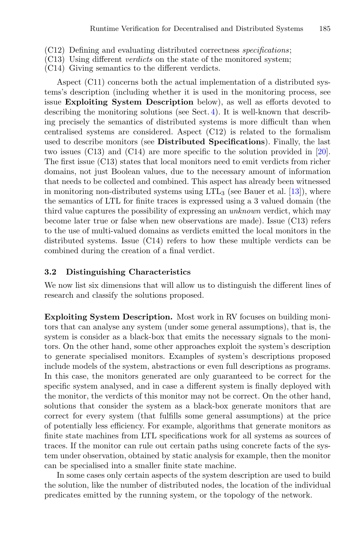- (C12) Defining and evaluating distributed correctness *specifications*;
- (C13) Using different *verdicts* on the state of the monitored system;
- (C14) Giving semantics to the different verdicts.

Aspect (C11) concerns both the actual implementation of a distributed systems's description (including whether it is used in the monitoring process, see issue **Exploiting System Description** below), as well as efforts devoted to describing the monitoring solutions (see Sect. [4\)](#page-11-1). It is well-known that describing precisely the semantics of distributed systems is more difficult than when centralised systems are considered. Aspect (C12) is related to the formalism used to describe monitors (see **Distributed Specifications**). Finally, the last two issues (C13) and (C14) are more specific to the solution provided in [\[20\]](#page-30-4). The first issue (C13) states that local monitors need to emit verdicts from richer domains, not just Boolean values, due to the necessary amount of information that needs to be collected and combined. This aspect has already been witnessed in monitoring non-distributed systems using  $LTL_3$  (see Bauer et al. [\[13](#page-30-5)]), where the semantics of LTL for finite traces is expressed using a 3 valued domain (the third value captures the possibility of expressing an *unknown* verdict, which may become later true or false when new observations are made). Issue (C13) refers to the use of multi-valued domains as verdicts emitted the local monitors in the distributed systems. Issue (C14) refers to how these multiple verdicts can be combined during the creation of a final verdict.

#### <span id="page-9-0"></span>**3.2 Distinguishing Characteristics**

We now list six dimensions that will allow us to distinguish the different lines of research and classify the solutions proposed.

**Exploiting System Description.** Most work in RV focuses on building monitors that can analyse any system (under some general assumptions), that is, the system is consider as a black-box that emits the necessary signals to the monitors. On the other hand, some other approaches exploit the system's description to generate specialised monitors. Examples of system's descriptions proposed include models of the system, abstractions or even full descriptions as programs. In this case, the monitors generated are only guaranteed to be correct for the specific system analysed, and in case a different system is finally deployed with the monitor, the verdicts of this monitor may not be correct. On the other hand, solutions that consider the system as a black-box generate monitors that are correct for every system (that fulfills some general assumptions) at the price of potentially less efficiency. For example, algorithms that generate monitors as finite state machines from LTL specifications work for all systems as sources of traces. If the monitor can rule out certain paths using concrete facts of the system under observation, obtained by static analysis for example, then the monitor can be specialised into a smaller finite state machine.

In some cases only certain aspects of the system description are used to build the solution, like the number of distributed nodes, the location of the individual predicates emitted by the running system, or the topology of the network.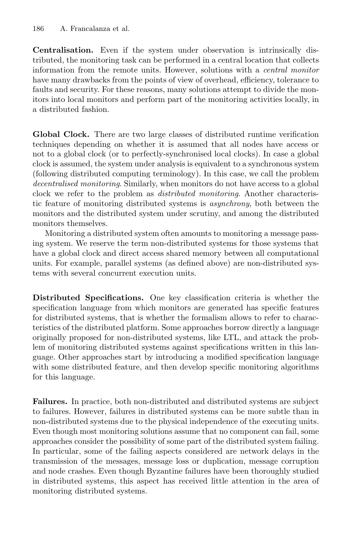**Centralisation.** Even if the system under observation is intrinsically distributed, the monitoring task can be performed in a central location that collects information from the remote units. However, solutions with a *central monitor* have many drawbacks from the points of view of overhead, efficiency, tolerance to faults and security. For these reasons, many solutions attempt to divide the monitors into local monitors and perform part of the monitoring activities locally, in a distributed fashion.

**Global Clock.** There are two large classes of distributed runtime verification techniques depending on whether it is assumed that all nodes have access or not to a global clock (or to perfectly-synchronised local clocks). In case a global clock is assumed, the system under analysis is equivalent to a synchronous system (following distributed computing terminology). In this case, we call the problem *decentralised monitoring*. Similarly, when monitors do not have access to a global clock we refer to the problem as *distributed monitoring*. Another characteristic feature of monitoring distributed systems is *asynchrony*, both between the monitors and the distributed system under scrutiny, and among the distributed monitors themselves.

Monitoring a distributed system often amounts to monitoring a message passing system. We reserve the term non-distributed systems for those systems that have a global clock and direct access shared memory between all computational units. For example, parallel systems (as defined above) are non-distributed systems with several concurrent execution units.

**Distributed Specifications.** One key classification criteria is whether the specification language from which monitors are generated has specific features for distributed systems, that is whether the formalism allows to refer to characteristics of the distributed platform. Some approaches borrow directly a language originally proposed for non-distributed systems, like LTL, and attack the problem of monitoring distributed systems against specifications written in this language. Other approaches start by introducing a modified specification language with some distributed feature, and then develop specific monitoring algorithms for this language.

**Failures.** In practice, both non-distributed and distributed systems are subject to failures. However, failures in distributed systems can be more subtle than in non-distributed systems due to the physical independence of the executing units. Even though most monitoring solutions assume that no component can fail, some approaches consider the possibility of some part of the distributed system failing. In particular, some of the failing aspects considered are network delays in the transmission of the messages, message loss or duplication, message corruption and node crashes. Even though Byzantine failures have been thoroughly studied in distributed systems, this aspect has received little attention in the area of monitoring distributed systems.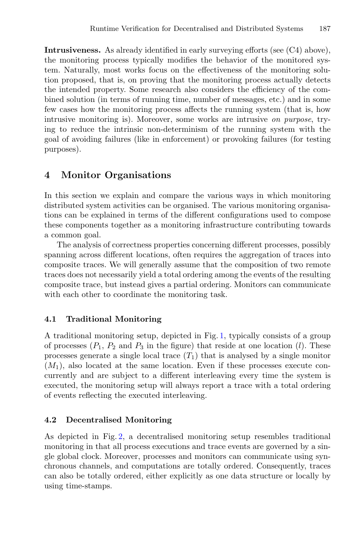**Intrusiveness.** As already identified in early surveying efforts (see  $(C4)$  above), the monitoring process typically modifies the behavior of the monitored system. Naturally, most works focus on the effectiveness of the monitoring solution proposed, that is, on proving that the monitoring process actually detects the intended property. Some research also considers the efficiency of the combined solution (in terms of running time, number of messages, etc.) and in some few cases how the monitoring process affects the running system (that is, how intrusive monitoring is). Moreover, some works are intrusive *on purpose*, trying to reduce the intrinsic non-determinism of the running system with the goal of avoiding failures (like in enforcement) or provoking failures (for testing purposes).

# <span id="page-11-1"></span>**4 Monitor Organisations**

In this section we explain and compare the various ways in which monitoring distributed system activities can be organised. The various monitoring organisations can be explained in terms of the different configurations used to compose these components together as a monitoring infrastructure contributing towards a common goal.

The analysis of correctness properties concerning different processes, possibly spanning across different locations, often requires the aggregation of traces into composite traces. We will generally assume that the composition of two remote traces does not necessarily yield a total ordering among the events of the resulting composite trace, but instead gives a partial ordering. Monitors can communicate with each other to coordinate the monitoring task.

# **4.1 Traditional Monitoring**

A traditional monitoring setup, depicted in Fig. [1,](#page-12-0) typically consists of a group of processes  $(P_1, P_2 \text{ and } P_3 \text{ in the figure})$  that reside at one location (*l*). These processes generate a single local trace  $(T_1)$  that is analysed by a single monitor  $(M_1)$ , also located at the same location. Even if these processes execute concurrently and are subject to a different interleaving every time the system is executed, the monitoring setup will always report a trace with a total ordering of events reflecting the executed interleaving.

## <span id="page-11-0"></span>**4.2 Decentralised Monitoring**

As depicted in Fig. [2,](#page-12-1) a decentralised monitoring setup resembles traditional monitoring in that all process executions and trace events are governed by a single global clock. Moreover, processes and monitors can communicate using synchronous channels, and computations are totally ordered. Consequently, traces can also be totally ordered, either explicitly as one data structure or locally by using time-stamps.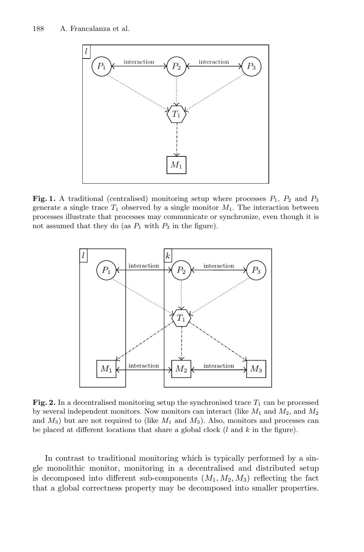

<span id="page-12-0"></span>**Fig. 1.** A traditional (centralised) monitoring setup where processes  $P_1$ ,  $P_2$  and  $P_3$ generate a single trace  $T_1$  observed by a single monitor  $M_1$ . The interaction between processes illustrate that processes may communicate or synchronize, even though it is not assumed that they do (as  $P_1$  with  $P_3$  in the figure).



<span id="page-12-1"></span>**Fig. 2.** In a decentralised monitoring setup the synchronised trace  $T_1$  can be processed by several independent monitors. Now monitors can interact (like  $M_1$  and  $M_2$ , and  $M_2$ and  $M_3$ ) but are not required to (like  $M_1$  and  $M_3$ ). Also, monitors and processes can be placed at different locations that share a global clock  $(l \text{ and } k \text{ in the figure}).$ 

In contrast to traditional monitoring which is typically performed by a single monolithic monitor, monitoring in a decentralised and distributed setup is decomposed into different sub-components  $(M_1, M_2, M_3)$  reflecting the fact that a global correctness property may be decomposed into smaller properties.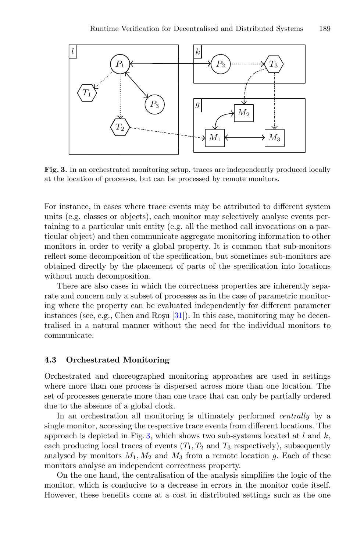

<span id="page-13-0"></span>**Fig. 3.** In an orchestrated monitoring setup, traces are independently produced locally at the location of processes, but can be processed by remote monitors.

For instance, in cases where trace events may be attributed to different system units (e.g. classes or objects), each monitor may selectively analyse events pertaining to a particular unit entity (e.g. all the method call invocations on a particular object) and then communicate aggregate monitoring information to other monitors in order to verify a global property. It is common that sub-monitors reflect some decomposition of the specification, but sometimes sub-monitors are obtained directly by the placement of parts of the specification into locations without much decomposition.

There are also cases in which the correctness properties are inherently separate and concern only a subset of processes as in the case of parametric monitoring where the property can be evaluated independently for different parameter instances (see, e.g., Chen and Rosu  $[31]$  $[31]$ ). In this case, monitoring may be decentralised in a natural manner without the need for the individual monitors to communicate.

## **4.3 Orchestrated Monitoring**

Orchestrated and choreographed monitoring approaches are used in settings where more than one process is dispersed across more than one location. The set of processes generate more than one trace that can only be partially ordered due to the absence of a global clock.

In an orchestration all monitoring is ultimately performed *centrally* by a single monitor, accessing the respective trace events from different locations. The approach is depicted in Fig. [3,](#page-13-0) which shows two sub-systems located at  $l$  and  $k$ , each producing local traces of events  $(T_1, T_2, T_3)$  respectively), subsequently analysed by monitors  $M_1, M_2$  and  $M_3$  from a remote location g. Each of these monitors analyse an independent correctness property.

On the one hand, the centralisation of the analysis simplifies the logic of the monitor, which is conducive to a decrease in errors in the monitor code itself. However, these benefits come at a cost in distributed settings such as the one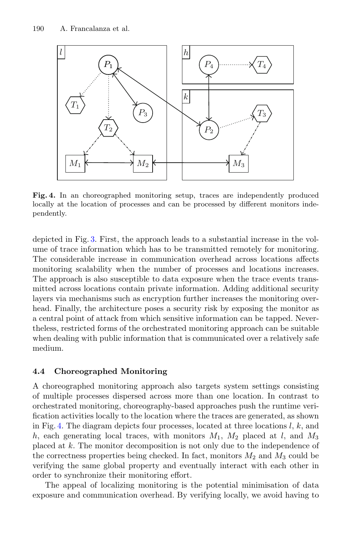

<span id="page-14-1"></span>Fig. 4. In an choreographed monitoring setup, traces are independently produced locally at the location of processes and can be processed by different monitors independently.

depicted in Fig. [3.](#page-13-0) First, the approach leads to a substantial increase in the volume of trace information which has to be transmitted remotely for monitoring. The considerable increase in communication overhead across locations affects monitoring scalability when the number of processes and locations increases. The approach is also susceptible to data exposure when the trace events transmitted across locations contain private information. Adding additional security layers via mechanisms such as encryption further increases the monitoring overhead. Finally, the architecture poses a security risk by exposing the monitor as a central point of attack from which sensitive information can be tapped. Nevertheless, restricted forms of the orchestrated monitoring approach can be suitable when dealing with public information that is communicated over a relatively safe medium.

## <span id="page-14-0"></span>**4.4 Choreographed Monitoring**

A choreographed monitoring approach also targets system settings consisting of multiple processes dispersed across more than one location. In contrast to orchestrated monitoring, choreography-based approaches push the runtime verification activities locally to the location where the traces are generated, as shown in Fig. [4.](#page-14-1) The diagram depicts four processes, located at three locations  $l, k$ , and h, each generating local traces, with monitors  $M_1$ ,  $M_2$  placed at l, and  $M_3$ placed at k. The monitor decomposition is not only due to the independence of the correctness properties being checked. In fact, monitors  $M_2$  and  $M_3$  could be verifying the same global property and eventually interact with each other in order to synchronize their monitoring effort.

The appeal of localizing monitoring is the potential minimisation of data exposure and communication overhead. By verifying locally, we avoid having to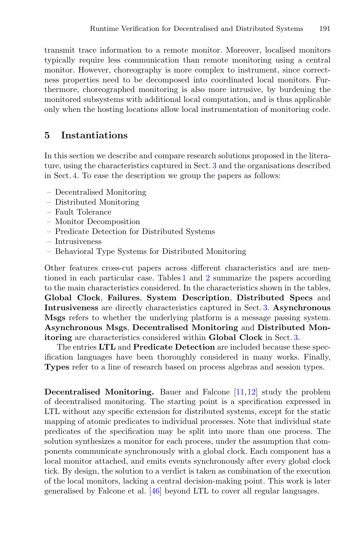transmit trace information to a remote monitor. Moreover, localised monitors typically require less communication than remote monitoring using a central monitor. However, choreography is more complex to instrument, since correctness properties need to be decomposed into coordinated local monitors. Furthermore, choreographed monitoring is also more intrusive, by burdening the monitored subsystems with additional local computation, and is thus applicable only when the hosting locations allow local instrumentation of monitoring code.

# <span id="page-15-0"></span>**5 Instantiations**

In this section we describe and compare research solutions proposed in the literature, using the characteristics captured in Sect. [3](#page-6-0) and the organisations described in Sect. [4.](#page-11-1) To ease the description we group the papers as follows:

- Decentralised Monitoring
- Distributed Monitoring
- Fault Tolerance
- Monitor Decomposition
- Predicate Detection for Distributed Systems
- Intrusiveness
- Behavioral Type Systems for Distributed Monitoring

Other features cross-cut papers across different characteristics and are mentioned in each particular case. Tables [1](#page-16-0) and [2](#page-17-0) summarize the papers according to the main characteristics considered. In the characteristics shown in the tables, **Global Clock**, **Failures**, **System Description**, **Distributed Specs** and **Intrusiveness** are directly characteristics captured in Sect. [3.](#page-6-0) **Asynchronous Msgs** refers to whether the underlying platform is a message passing system. **Asynchronous Msgs**, **Decentralised Monitoring** and **Distributed Monitoring** are characteristics considered within **Global Clock** in Sect. [3.](#page-6-0)

The entries **LTL** and **Predicate Detection** are included because these specification languages have been thoroughly considered in many works. Finally, **Types** refer to a line of research based on process algebras and session types.

**Decentralised Monitoring.** Bauer and Falcone [\[11](#page-30-3),[12\]](#page-30-6) study the problem of decentralised monitoring. The starting point is a specification expressed in LTL without any specific extension for distributed systems, except for the static mapping of atomic predicates to individual processes. Note that individual state predicates of the specification may be split into more than one process. The solution synthesizes a monitor for each process, under the assumption that components communicate synchronously with a global clock. Each component has a local monitor attached, and emits events synchronously after every global clock tick. By design, the solution to a verdict is taken as combination of the execution of the local monitors, lacking a central decision-making point. This work is later generalised by Falcone et al. [\[46\]](#page-32-3) beyond LTL to cover all regular languages.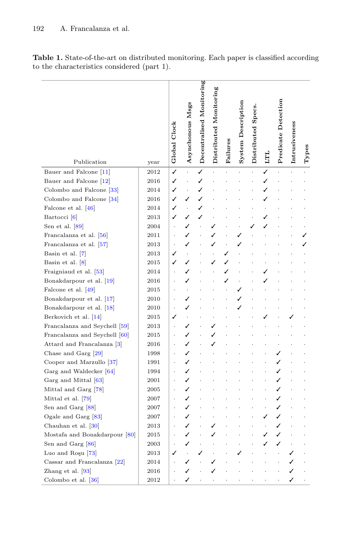<span id="page-16-0"></span>

| Publication                   | year | Global Clock         | Asynchonous Msgs | Decentralised Monitoring | Distributed Monitoring | Failures | System Description | Distributed Specs. | LTL | Predicate Detection | Intrusiveness | Types |
|-------------------------------|------|----------------------|------------------|--------------------------|------------------------|----------|--------------------|--------------------|-----|---------------------|---------------|-------|
| Bauer and Falcone [11]        | 2012 | ✓                    |                  | J                        |                        |          |                    |                    | Í   |                     |               |       |
| Bauer and Falcone [12]        | 2016 | ✓                    |                  | ✓                        |                        |          |                    |                    | ✓   |                     |               |       |
| Colombo and Falcone [33]      | 2014 | ✓                    |                  | ✓                        |                        |          |                    |                    |     |                     |               |       |
| Colombo and Falcone [34]      | 2016 | ✓                    | J                | J                        |                        |          |                    |                    |     |                     |               |       |
| Falcone et al. $[46]$         | 2014 | ✓                    |                  | ✓                        |                        |          |                    |                    |     |                     |               |       |
| Bartocci <sup>[6]</sup>       | 2013 | ✓                    |                  | ✓                        |                        |          |                    |                    |     |                     |               |       |
| Sen et al. $[89]$             | 2004 |                      |                  |                          |                        |          |                    |                    |     |                     |               |       |
| Francalanza et al. [56]       | 2011 |                      | ╱                |                          |                        |          |                    |                    |     |                     |               |       |
| Francalanza et al. [57]       | 2013 |                      |                  |                          |                        |          |                    |                    |     |                     |               |       |
| Basin et al. $[7]$            | 2013 | ✓                    |                  |                          |                        |          |                    |                    |     |                     |               |       |
| Basin et al. $[8]$            | 2015 | ✓                    |                  |                          |                        |          |                    |                    |     |                     |               |       |
| Fraigniaud et al. [53]        | 2014 |                      |                  |                          |                        |          |                    |                    |     |                     |               |       |
| Bonakdarpour et al. [19]      | 2016 |                      |                  |                          |                        |          |                    |                    |     |                     |               |       |
| Falcone et al. [49]           | 2015 |                      |                  |                          |                        |          |                    |                    |     |                     |               |       |
| Bonakdarpour et al. [17]      | 2010 |                      |                  |                          |                        |          |                    |                    |     |                     |               |       |
| Bonakdarpour et al. [18]      | 2010 |                      |                  |                          |                        |          |                    |                    |     |                     |               |       |
| Berkovich et al. [14]         | 2015 | ✓                    |                  |                          |                        |          |                    |                    |     |                     |               |       |
| Francalanza and Seychell [59] | 2013 | $\ddot{\phantom{a}}$ | J                |                          |                        |          |                    |                    |     |                     |               |       |
| Francalanza and Seychell [60] | 2015 |                      |                  |                          |                        |          |                    |                    |     |                     |               |       |
| Attard and Francalanza [3]    | 2016 |                      |                  |                          |                        |          |                    |                    |     |                     |               |       |
| Chase and Garg $[29]$         | 1998 |                      | J                |                          |                        |          |                    |                    |     | J                   |               |       |
| Cooper and Marzullo [37]      | 1991 |                      |                  |                          |                        |          |                    |                    |     |                     |               |       |
| Garg and Waldecker [64]       | 1994 |                      |                  |                          |                        |          |                    |                    |     |                     |               |       |
| Garg and Mittal [63]          | 2001 | J.                   | ╱                |                          |                        |          |                    |                    |     | ✓                   |               |       |
| Mittal and Garg [78]          | 2005 |                      |                  |                          |                        |          |                    |                    |     |                     |               |       |
| Mittal et al. [79]            | 2007 |                      |                  |                          |                        |          |                    |                    |     |                     |               |       |
| Sen and Garg [88]             | 2007 |                      | ╱                |                          |                        |          |                    |                    |     | ✓                   |               |       |
| Ogale and Garg [83]           | 2007 |                      | J                |                          |                        |          |                    |                    | J   |                     |               |       |
| Chauhan et al. [30]           | 2013 |                      |                  |                          |                        |          |                    |                    |     |                     |               |       |
| Mostafa and Bonakdarpour [80] | 2015 |                      | ╱                |                          |                        |          |                    |                    | ╱   | ╱                   |               |       |
| Sen and Garg [86]             | 2003 |                      | ✓                |                          |                        |          |                    |                    |     |                     |               |       |
| Luo and Rosu [73]             | 2013 |                      |                  |                          |                        |          |                    |                    |     |                     |               |       |
| Cassar and Francalanza [22]   | 2014 |                      |                  |                          | ✓                      |          |                    |                    |     |                     | ✓             |       |
| Zhang et al. $[93]$           | 2016 |                      |                  |                          |                        |          |                    |                    |     |                     |               |       |
| Colombo et al. [36]           | 2012 |                      |                  |                          |                        |          |                    |                    |     |                     | ✓             |       |

**Table 1.** State-of-the-art on distributed monitoring. Each paper is classified according to the characteristics considered (part 1).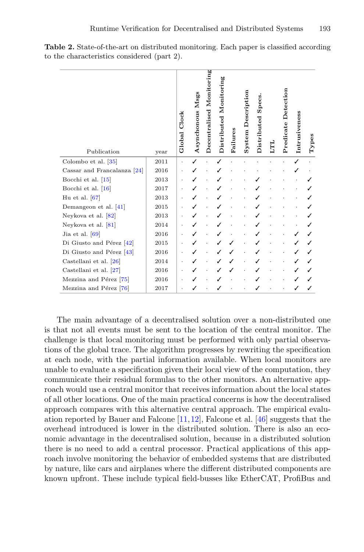<span id="page-17-0"></span>

| Publication                   | year | Clock<br>Global | Msgs<br>Asynchonous | Monitoring<br>Decentralised | Monitoring<br>Distributed | Failures | System Description | Specs.<br>Distributed | Ë | Predicate Detection | Intrusiveness | Types |
|-------------------------------|------|-----------------|---------------------|-----------------------------|---------------------------|----------|--------------------|-----------------------|---|---------------------|---------------|-------|
| Colombo et al. [35]           | 2011 |                 |                     |                             |                           |          |                    |                       |   |                     |               |       |
| Cassar and Francalanza $[24]$ | 2016 |                 |                     |                             |                           |          |                    |                       |   |                     |               |       |
| Bocchi et al. $[15]$          | 2013 |                 |                     |                             |                           |          |                    |                       |   |                     |               |       |
| Bocchi et al. $[16]$          | 2017 |                 |                     |                             |                           |          |                    |                       |   |                     |               |       |
| Hu et al. $[67]$              | 2013 |                 |                     |                             |                           |          |                    |                       |   |                     |               |       |
| Demangeon et al. $[41]$       | 2015 |                 |                     |                             |                           |          |                    |                       |   |                     |               |       |
| Neykova et al. $[82]$         | 2013 |                 |                     |                             |                           |          |                    |                       |   |                     |               |       |
| Neykova et al. [81]           | 2014 |                 |                     |                             |                           |          |                    |                       |   |                     |               |       |
| Jia et al. $[69]$             | 2016 |                 |                     |                             |                           |          |                    |                       |   |                     |               |       |
| Di Giusto and Pérez [42]      | 2015 |                 |                     |                             |                           |          |                    |                       |   |                     |               |       |
| Di Giusto and Pérez [43]      | 2016 |                 |                     |                             |                           |          |                    |                       |   |                     |               |       |
| Castellani et al. [26]        | 2014 |                 |                     |                             |                           |          |                    |                       |   |                     |               |       |
| Castellani et al. [27]        | 2016 |                 |                     |                             |                           |          |                    |                       |   |                     |               |       |
| Mezzina and Pérez [75]        | 2016 |                 |                     |                             |                           |          |                    |                       |   |                     |               |       |
| Mezzina and Pérez [76]        | 2017 |                 |                     |                             |                           |          |                    |                       |   |                     |               |       |

**Table 2.** State-of-the-art on distributed monitoring. Each paper is classified according to the characteristics considered (part 2).

The main advantage of a decentralised solution over a non-distributed one is that not all events must be sent to the location of the central monitor. The challenge is that local monitoring must be performed with only partial observations of the global trace. The algorithm progresses by rewriting the specification at each node, with the partial information available. When local monitors are unable to evaluate a specification given their local view of the computation, they communicate their residual formulas to the other monitors. An alternative approach would use a central monitor that receives information about the local states of all other locations. One of the main practical concerns is how the decentralised approach compares with this alternative central approach. The empirical evaluation reported by Bauer and Falcone  $[11,12]$  $[11,12]$  $[11,12]$ , Falcone et al.  $[46]$  suggests that the overhead introduced is lower in the distributed solution. There is also an economic advantage in the decentralised solution, because in a distributed solution there is no need to add a central processor. Practical applications of this approach involve monitoring the behavior of embedded systems that are distributed by nature, like cars and airplanes where the different distributed components are known upfront. These include typical field-busses like EtherCAT, ProfiBus and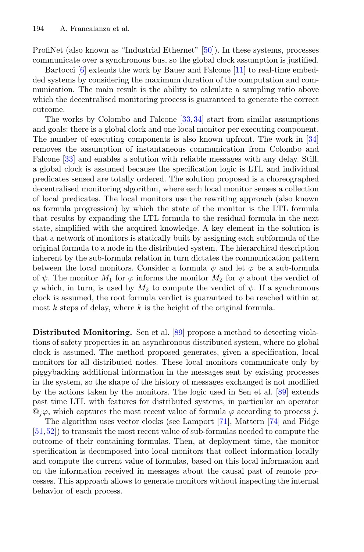ProfiNet (also known as "Industrial Ethernet" [\[50\]](#page-32-7)). In these systems, processes communicate over a synchronous bus, so the global clock assumption is justified.

Bartocci [\[6\]](#page-30-7) extends the work by Bauer and Falcone [\[11](#page-30-3)] to real-time embedded systems by considering the maximum duration of the computation and communication. The main result is the ability to calculate a sampling ratio above which the decentralised monitoring process is guaranteed to generate the correct outcome.

The works by Colombo and Falcone [\[33](#page-31-9),[34\]](#page-31-7) start from similar assumptions and goals: there is a global clock and one local monitor per executing component. The number of executing components is also known upfront. The work in [\[34](#page-31-7)] removes the assumption of instantaneous communication from Colombo and Falcone [\[33](#page-31-9)] and enables a solution with reliable messages with any delay. Still, a global clock is assumed because the specification logic is LTL and individual predicates sensed are totally ordered. The solution proposed is a choreographed decentralised monitoring algorithm, where each local monitor senses a collection of local predicates. The local monitors use the rewriting approach (also known as formula progression) by which the state of the monitor is the LTL formula that results by expanding the LTL formula to the residual formula in the next state, simplified with the acquired knowledge. A key element in the solution is that a network of monitors is statically built by assigning each subformula of the original formula to a node in the distributed system. The hierarchical description inherent by the sub-formula relation in turn dictates the communication pattern between the local monitors. Consider a formula  $\psi$  and let  $\varphi$  be a sub-formula of  $\psi$ . The monitor  $M_1$  for  $\varphi$  informs the monitor  $M_2$  for  $\psi$  about the verdict of  $\varphi$  which, in turn, is used by  $M_2$  to compute the verdict of  $\psi$ . If a synchronous clock is assumed, the root formula verdict is guaranteed to be reached within at most  $k$  steps of delay, where  $k$  is the height of the original formula.

**Distributed Monitoring.** Sen et al. [\[89](#page-34-2)] propose a method to detecting violations of safety properties in an asynchronous distributed system, where no global clock is assumed. The method proposed generates, given a specification, local monitors for all distributed nodes. These local monitors communicate only by piggybacking additional information in the messages sent by existing processes in the system, so the shape of the history of messages exchanged is not modified by the actions taken by the monitors. The logic used in Sen et al. [\[89\]](#page-34-2) extends past time LTL with features for distributed systems, in particular an operator  $\mathbb{Q}_i\varphi$ , which captures the most recent value of formula  $\varphi$  according to process j.

The algorithm uses vector clocks (see Lamport [\[71\]](#page-33-12), Mattern [\[74](#page-33-13)] and Fidge [\[51](#page-32-8),[52\]](#page-32-9)) to transmit the most recent value of sub-formulas needed to compute the outcome of their containing formulas. Then, at deployment time, the monitor specification is decomposed into local monitors that collect information locally and compute the current value of formulas, based on this local information and on the information received in messages about the causal past of remote processes. This approach allows to generate monitors without inspecting the internal behavior of each process.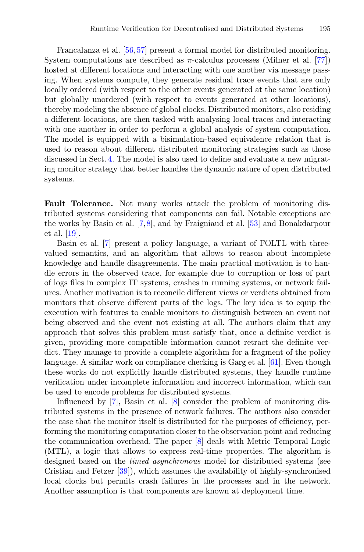Francalanza et al. [\[56](#page-33-7)[,57\]](#page-33-4) present a formal model for distributed monitoring. System computations are described as  $\pi$ -calculus processes (Milner et al. [\[77\]](#page-34-13)) hosted at different locations and interacting with one another via message passing. When systems compute, they generate residual trace events that are only locally ordered (with respect to the other events generated at the same location) but globally unordered (with respect to events generated at other locations), thereby modeling the absence of global clocks. Distributed monitors, also residing a different locations, are then tasked with analysing local traces and interacting with one another in order to perform a global analysis of system computation. The model is equipped with a bisimulation-based equivalence relation that is used to reason about different distributed monitoring strategies such as those discussed in Sect. [4.](#page-11-1) The model is also used to define and evaluate a new migrating monitor strategy that better handles the dynamic nature of open distributed systems.

**Fault Tolerance.** Not many works attack the problem of monitoring distributed systems considering that components can fail. Notable exceptions are the works by Basin et al. [\[7](#page-30-1),[8\]](#page-30-2), and by Fraigniaud et al. [\[53\]](#page-32-2) and Bonakdarpour et al. [\[19\]](#page-30-8).

Basin et al. [\[7\]](#page-30-1) present a policy language, a variant of FOLTL with threevalued semantics, and an algorithm that allows to reason about incomplete knowledge and handle disagreements. The main practical motivation is to handle errors in the observed trace, for example due to corruption or loss of part of logs files in complex IT systems, crashes in running systems, or network failures. Another motivation is to reconcile different views or verdicts obtained from monitors that observe different parts of the logs. The key idea is to equip the execution with features to enable monitors to distinguish between an event not being observed and the event not existing at all. The authors claim that any approach that solves this problem must satisfy that, once a definite verdict is given, providing more compatible information cannot retract the definite verdict. They manage to provide a complete algorithm for a fragment of the policy language. A similar work on compliance checking is Garg et al. [\[61](#page-33-14)]. Even though these works do not explicitly handle distributed systems, they handle runtime verification under incomplete information and incorrect information, which can be used to encode problems for distributed systems.

Influenced by [\[7](#page-30-1)], Basin et al. [\[8](#page-30-2)] consider the problem of monitoring distributed systems in the presence of network failures. The authors also consider the case that the monitor itself is distributed for the purposes of efficiency, performing the monitoring computation closer to the observation point and reducing the communication overhead. The paper [\[8](#page-30-2)] deals with Metric Temporal Logic (MTL), a logic that allows to express real-time properties. The algorithm is designed based on the *timed asynchronous* model for distributed systems (see Cristian and Fetzer [\[39](#page-32-10)]), which assumes the availability of highly-synchronised local clocks but permits crash failures in the processes and in the network. Another assumption is that components are known at deployment time.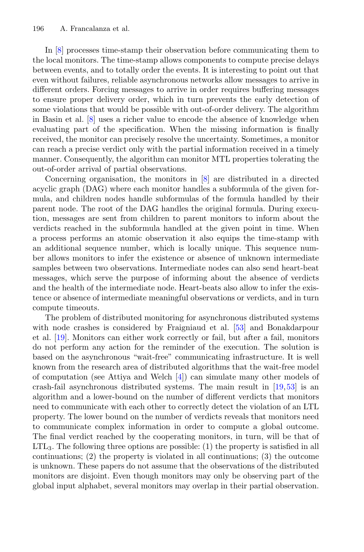In [\[8](#page-30-2)] processes time-stamp their observation before communicating them to the local monitors. The time-stamp allows components to compute precise delays between events, and to totally order the events. It is interesting to point out that even without failures, reliable asynchronous networks allow messages to arrive in different orders. Forcing messages to arrive in order requires buffering messages to ensure proper delivery order, which in turn prevents the early detection of some violations that would be possible with out-of-order delivery. The algorithm in Basin et al. [\[8\]](#page-30-2) uses a richer value to encode the absence of knowledge when evaluating part of the specification. When the missing information is finally received, the monitor can precisely resolve the uncertainty. Sometimes, a monitor can reach a precise verdict only with the partial information received in a timely manner. Consequently, the algorithm can monitor MTL properties tolerating the out-of-order arrival of partial observations.

Concerning organisation, the monitors in [\[8\]](#page-30-2) are distributed in a directed acyclic graph (DAG) where each monitor handles a subformula of the given formula, and children nodes handle subformulas of the formula handled by their parent node. The root of the DAG handles the original formula. During execution, messages are sent from children to parent monitors to inform about the verdicts reached in the subformula handled at the given point in time. When a process performs an atomic observation it also equips the time-stamp with an additional sequence number, which is locally unique. This sequence number allows monitors to infer the existence or absence of unknown intermediate samples between two observations. Intermediate nodes can also send heart-beat messages, which serve the purpose of informing about the absence of verdicts and the health of the intermediate node. Heart-beats also allow to infer the existence or absence of intermediate meaningful observations or verdicts, and in turn compute timeouts.

The problem of distributed monitoring for asynchronous distributed systems with node crashes is considered by Fraigniaud et al. [\[53](#page-32-2)] and Bonakdarpour et al. [\[19](#page-30-8)]. Monitors can either work correctly or fail, but after a fail, monitors do not perform any action for the reminder of the execution. The solution is based on the asynchronous "wait-free" communicating infrastructure. It is well known from the research area of distributed algorithms that the wait-free model of computation (see Attiya and Welch [\[4\]](#page-29-0)) can simulate many other models of crash-fail asynchronous distributed systems. The main result in [\[19](#page-30-8)[,53](#page-32-2)] is an algorithm and a lower-bound on the number of different verdicts that monitors need to communicate with each other to correctly detect the violation of an LTL property. The lower bound on the number of verdicts reveals that monitors need to communicate complex information in order to compute a global outcome. The final verdict reached by the cooperating monitors, in turn, will be that of LTL3. The following three options are possible: (1) the property is satisfied in all continuations; (2) the property is violated in all continuations; (3) the outcome is unknown. These papers do not assume that the observations of the distributed monitors are disjoint. Even though monitors may only be observing part of the global input alphabet, several monitors may overlap in their partial observation.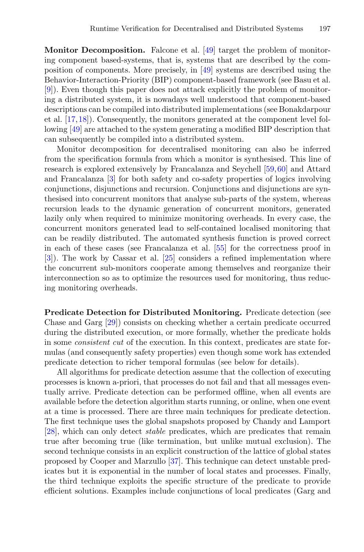**Monitor Decomposition.** Falcone et al. [\[49\]](#page-32-1) target the problem of monitoring component based-systems, that is, systems that are described by the composition of components. More precisely, in [\[49\]](#page-32-1) systems are described using the Behavior-Interaction-Priority (BIP) component-based framework (see Basu et al. [\[9](#page-30-13)]). Even though this paper does not attack explicitly the problem of monitoring a distributed system, it is nowadays well understood that component-based descriptions can be compiled into distributed implementations (see Bonakdarpour et al. [\[17](#page-30-9),[18\]](#page-30-10)). Consequently, the monitors generated at the component level following [\[49\]](#page-32-1) are attached to the system generating a modified BIP description that can subsequently be compiled into a distributed system.

Monitor decomposition for decentralised monitoring can also be inferred from the specification formula from which a monitor is synthesised. This line of research is explored extensively by Francalanza and Seychell [\[59](#page-33-1)[,60\]](#page-33-2) and Attard and Francalanza [\[3](#page-29-2)] for both safety and co-safety properties of logics involving conjunctions, disjunctions and recursion. Conjunctions and disjunctions are synthesised into concurrent monitors that analyse sub-parts of the system, whereas recursion leads to the dynamic generation of concurrent monitors, generated lazily only when required to minimize monitoring overheads. In every case, the concurrent monitors generated lead to self-contained localised monitoring that can be readily distributed. The automated synthesis function is proved correct in each of these cases (see Francalanza et al. [\[55](#page-32-11)] for the correctness proof in [\[3](#page-29-2)]). The work by Cassar et al. [\[25\]](#page-31-4) considers a refined implementation where the concurrent sub-monitors cooperate among themselves and reorganize their interconnection so as to optimize the resources used for monitoring, thus reducing monitoring overheads.

**Predicate Detection for Distributed Monitoring.** Predicate detection (see Chase and Garg [\[29\]](#page-31-10)) consists on checking whether a certain predicate occurred during the distributed execution, or more formally, whether the predicate holds in some *consistent cut* of the execution. In this context, predicates are state formulas (and consequently safety properties) even though some work has extended predicate detection to richer temporal formulas (see below for details).

All algorithms for predicate detection assume that the collection of executing processes is known a-priori, that processes do not fail and that all messages eventually arrive. Predicate detection can be performed offline, when all events are available before the detection algorithm starts running, or online, when one event at a time is processed. There are three main techniques for predicate detection. The first technique uses the global snapshots proposed by Chandy and Lamport [\[28](#page-31-15)], which can only detect *stable* predicates, which are predicates that remain true after becoming true (like termination, but unlike mutual exclusion). The second technique consists in an explicit construction of the lattice of global states proposed by Cooper and Marzullo [\[37\]](#page-31-0). This technique can detect unstable predicates but it is exponential in the number of local states and processes. Finally, the third technique exploits the specific structure of the predicate to provide efficient solutions. Examples include conjunctions of local predicates (Garg and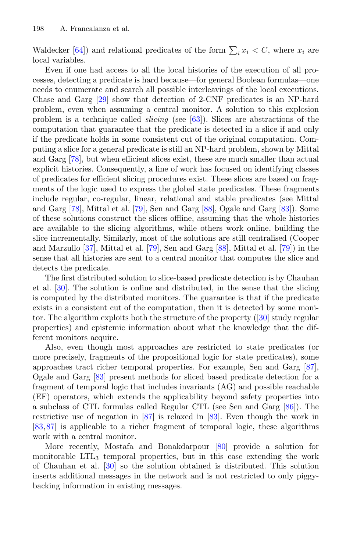Waldecker [\[64](#page-33-8)]) and relational predicates of the form  $\sum_i x_i < C$ , where  $x_i$  are local variables local variables.

Even if one had access to all the local histories of the execution of all processes, detecting a predicate is hard because—for general Boolean formulas—one needs to enumerate and search all possible interleavings of the local executions. Chase and Garg [\[29\]](#page-31-10) show that detection of 2-CNF predicates is an NP-hard problem, even when assuming a central monitor. A solution to this explosion problem is a technique called *slicing* (see [\[63\]](#page-33-9)). Slices are abstractions of the computation that guarantee that the predicate is detected in a slice if and only if the predicate holds in some consistent cut of the original computation. Computing a slice for a general predicate is still an NP-hard problem, shown by Mittal and Garg [\[78\]](#page-34-4), but when efficient slices exist, these are much smaller than actual explicit histories. Consequently, a line of work has focused on identifying classes of predicates for efficient slicing procedures exist. These slices are based on fragments of the logic used to express the global state predicates. These fragments include regular, co-regular, linear, relational and stable predicates (see Mittal and Garg [\[78\]](#page-34-4), Mittal et al. [\[79\]](#page-34-0), Sen and Garg [\[88](#page-34-5)], Ogale and Garg [\[83\]](#page-34-6)). Some of these solutions construct the slices offline, assuming that the whole histories are available to the slicing algorithms, while others work online, building the slice incrementally. Similarly, most of the solutions are still centralised (Cooper and Marzullo [\[37\]](#page-31-0), Mittal et al. [\[79\]](#page-34-0), Sen and Garg [\[88](#page-34-5)], Mittal et al. [\[79](#page-34-0)]) in the sense that all histories are sent to a central monitor that computes the slice and detects the predicate.

The first distributed solution to slice-based predicate detection is by Chauhan et al. [\[30\]](#page-31-1). The solution is online and distributed, in the sense that the slicing is computed by the distributed monitors. The guarantee is that if the predicate exists in a consistent cut of the computation, then it is detected by some monitor. The algorithm exploits both the structure of the property ([\[30\]](#page-31-1) study regular properties) and epistemic information about what the knowledge that the different monitors acquire.

Also, even though most approaches are restricted to state predicates (or more precisely, fragments of the propositional logic for state predicates), some approaches tract richer temporal properties. For example, Sen and Garg [\[87\]](#page-34-14), Ogale and Garg [\[83](#page-34-6)] present methods for sliced based predicate detection for a fragment of temporal logic that includes invariants (AG) and possible reachable (EF) operators, which extends the applicability beyond safety properties into a subclass of CTL formulas called Regular CTL (see Sen and Garg [\[86\]](#page-34-7)). The restrictive use of negation in [\[87](#page-34-14)] is relaxed in [\[83\]](#page-34-6). Even though the work in [\[83](#page-34-6),[87\]](#page-34-14) is applicable to a richer fragment of temporal logic, these algorithms work with a central monitor.

More recently, Mostafa and Bonakdarpour [\[80](#page-34-1)] provide a solution for monitorable LTL<sup>3</sup> temporal properties, but in this case extending the work of Chauhan et al. [\[30\]](#page-31-1) so the solution obtained is distributed. This solution inserts additional messages in the network and is not restricted to only piggybacking information in existing messages.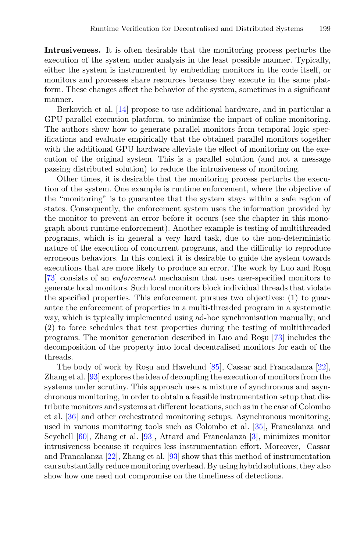**Intrusiveness.** It is often desirable that the monitoring process perturbs the execution of the system under analysis in the least possible manner. Typically, either the system is instrumented by embedding monitors in the code itself, or monitors and processes share resources because they execute in the same platform. These changes affect the behavior of the system, sometimes in a significant manner.

Berkovich et al. [\[14\]](#page-30-0) propose to use additional hardware, and in particular a GPU parallel execution platform, to minimize the impact of online monitoring. The authors show how to generate parallel monitors from temporal logic specifications and evaluate empirically that the obtained parallel monitors together with the additional GPU hardware alleviate the effect of monitoring on the execution of the original system. This is a parallel solution (and not a message passing distributed solution) to reduce the intrusiveness of monitoring.

Other times, it is desirable that the monitoring process perturbs the execution of the system. One example is runtime enforcement, where the objective of the "monitoring" is to guarantee that the system stays within a safe region of states. Consequently, the enforcement system uses the information provided by the monitor to prevent an error before it occurs (see the chapter in this monograph about runtime enforcement). Another example is testing of multithreaded programs, which is in general a very hard task, due to the non-deterministic nature of the execution of concurrent programs, and the difficulty to reproduce erroneous behaviors. In this context it is desirable to guide the system towards executions that are more likely to produce an error. The work by Luo and Rosu [\[73](#page-33-5)] consists of an *enforcement* mechanism that uses user-specified monitors to generate local monitors. Such local monitors block individual threads that violate the specified properties. This enforcement pursues two objectives: (1) to guarantee the enforcement of properties in a multi-threaded program in a systematic way, which is typically implemented using ad-hoc synchronisation manually; and (2) to force schedules that test properties during the testing of multithreaded programs. The monitor generation described in Luo and Rosu [\[73](#page-33-5)] includes the decomposition of the property into local decentralised monitors for each of the threads.

The body of work by Roşu and Havelund  $[85]$  $[85]$ , Cassar and Francalanza  $[22]$ , Zhang et al. [\[93](#page-34-8)] explores the idea of decoupling the execution of monitors from the systems under scrutiny. This approach uses a mixture of synchronous and asynchronous monitoring, in order to obtain a feasible instrumentation setup that distribute monitors and systems at different locations, such as in the case of Colombo et al. [\[36\]](#page-31-5) and other orchestrated monitoring setups. Asynchronous monitoring, used in various monitoring tools such as Colombo et al. [\[35\]](#page-31-12), Francalanza and Seychell [\[60\]](#page-33-2), Zhang et al. [\[93\]](#page-34-8), Attard and Francalanza [\[3](#page-29-2)], minimizes monitor intrusiveness because it requires less instrumentation effort. Moreover, Cassar and Francalanza [\[22\]](#page-31-11), Zhang et al. [\[93\]](#page-34-8) show that this method of instrumentation can substantially reduce monitoring overhead. By using hybrid solutions, they also show how one need not compromise on the timeliness of detections.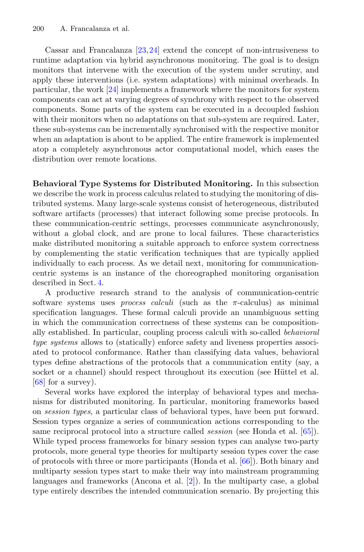Cassar and Francalanza  $[23,24]$  $[23,24]$  $[23,24]$  extend the concept of non-intrusiveness to runtime adaptation via hybrid asynchronous monitoring. The goal is to design monitors that intervene with the execution of the system under scrutiny, and apply these interventions (i.e. system adaptations) with minimal overheads. In particular, the work [\[24\]](#page-31-3) implements a framework where the monitors for system components can act at varying degrees of synchrony with respect to the observed components. Some parts of the system can be executed in a decoupled fashion with their monitors when no adaptations on that sub-system are required. Later, these sub-systems can be incrementally synchronised with the respective monitor when an adaptation is about to be applied. The entire framework is implemented atop a completely asynchronous actor computational model, which eases the distribution over remote locations.

**Behavioral Type Systems for Distributed Monitoring.** In this subsection we describe the work in process calculus related to studying the monitoring of distributed systems. Many large-scale systems consist of heterogeneous, distributed software artifacts (processes) that interact following some precise protocols. In these communication-centric settings, processes communicate asynchronously, without a global clock, and are prone to local failures. These characteristics make distributed monitoring a suitable approach to enforce system correctness by complementing the static verification techniques that are typically applied individually to each process. As we detail next, monitoring for communicationcentric systems is an instance of the choreographed monitoring organisation described in Sect. [4.](#page-11-1)

A productive research strand to the analysis of communication-centric software systems uses *process calculi* (such as the π-calculus) as minimal specification languages. These formal calculi provide an unambiguous setting in which the communication correctness of these systems can be compositionally established. In particular, coupling process calculi with so-called *behavioral type systems* allows to (statically) enforce safety and liveness properties associated to protocol conformance. Rather than classifying data values, behavioral types define abstractions of the protocols that a communication entity (say, a socket or a channel) should respect throughout its execution (see Hüttel et al. [\[68](#page-33-15)] for a survey).

Several works have explored the interplay of behavioral types and mechanisms for distributed monitoring. In particular, monitoring frameworks based on *session types*, a particular class of behavioral types, have been put forward. Session types organize a series of communication actions corresponding to the same reciprocal protocol into a structure called *session* (see Honda et al. [\[65\]](#page-33-16)). While typed process frameworks for binary session types can analyse two-party protocols, more general type theories for multiparty session types cover the case of protocols with three or more participants (Honda et al. [\[66](#page-33-17)]). Both binary and multiparty session types start to make their way into mainstream programming languages and frameworks (Ancona et al. [\[2\]](#page-29-3)). In the multiparty case, a global type entirely describes the intended communication scenario. By projecting this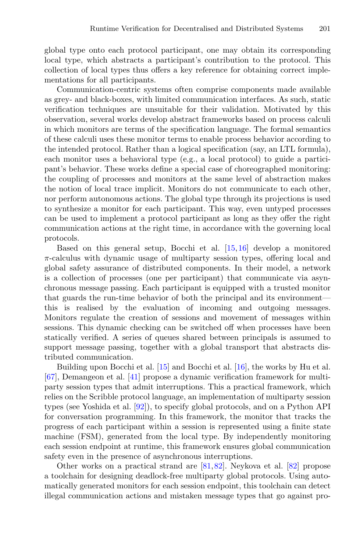global type onto each protocol participant, one may obtain its corresponding local type, which abstracts a participant's contribution to the protocol. This collection of local types thus offers a key reference for obtaining correct implementations for all participants.

Communication-centric systems often comprise components made available as grey- and black-boxes, with limited communication interfaces. As such, static verification techniques are unsuitable for their validation. Motivated by this observation, several works develop abstract frameworks based on process calculi in which monitors are terms of the specification language. The formal semantics of these calculi uses these monitor terms to enable process behavior according to the intended protocol. Rather than a logical specification (say, an LTL formula), each monitor uses a behavioral type (e.g., a local protocol) to guide a participant's behavior. These works define a special case of choreographed monitoring: the coupling of processes and monitors at the same level of abstraction makes the notion of local trace implicit. Monitors do not communicate to each other, nor perform autonomous actions. The global type through its projections is used to synthesize a monitor for each participant. This way, even untyped processes can be used to implement a protocol participant as long as they offer the right communication actions at the right time, in accordance with the governing local protocols.

Based on this general setup, Bocchi et al. [\[15](#page-30-11),[16\]](#page-30-12) develop a monitored  $\pi$ -calculus with dynamic usage of multiparty session types, offering local and global safety assurance of distributed components. In their model, a network is a collection of processes (one per participant) that communicate via asynchronous message passing. Each participant is equipped with a trusted monitor that guards the run-time behavior of both the principal and its environment this is realised by the evaluation of incoming and outgoing messages. Monitors regulate the creation of sessions and movement of messages within sessions. This dynamic checking can be switched off when processes have been statically verified. A series of queues shared between principals is assumed to support message passing, together with a global transport that abstracts distributed communication.

Building upon Bocchi et al. [\[15](#page-30-11)] and Bocchi et al. [\[16\]](#page-30-12), the works by Hu et al. [\[67](#page-33-10)], Demangeon et al. [\[41\]](#page-32-4) propose a dynamic verification framework for multiparty session types that admit interruptions. This a practical framework, which relies on the Scribble protocol language, an implementation of multiparty session types (see Yoshida et al. [\[92](#page-34-16)]), to specify global protocols, and on a Python API for conversation programming. In this framework, the monitor that tracks the progress of each participant within a session is represented using a finite state machine (FSM), generated from the local type. By independently monitoring each session endpoint at runtime, this framework ensures global communication safety even in the presence of asynchronous interruptions.

Other works on a practical strand are [\[81,](#page-34-10)[82\]](#page-34-9). Neykova et al. [\[82\]](#page-34-9) propose a toolchain for designing deadlock-free multiparty global protocols. Using automatically generated monitors for each session endpoint, this toolchain can detect illegal communication actions and mistaken message types that go against pro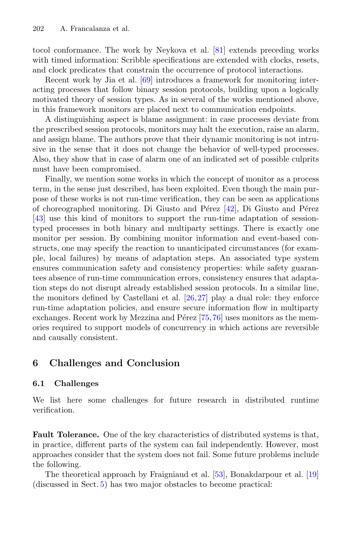tocol conformance. The work by Neykova et al. [\[81\]](#page-34-10) extends preceding works with timed information: Scribble specifications are extended with clocks, resets, and clock predicates that constrain the occurrence of protocol interactions.

Recent work by Jia et al. [\[69\]](#page-33-11) introduces a framework for monitoring interacting processes that follow binary session protocols, building upon a logically motivated theory of session types. As in several of the works mentioned above, in this framework monitors are placed next to communication endpoints.

A distinguishing aspect is blame assignment: in case processes deviate from the prescribed session protocols, monitors may halt the execution, raise an alarm, and assign blame. The authors prove that their dynamic monitoring is not intrusive in the sense that it does not change the behavior of well-typed processes. Also, they show that in case of alarm one of an indicated set of possible culprits must have been compromised.

Finally, we mention some works in which the concept of monitor as a process term, in the sense just described, has been exploited. Even though the main purpose of these works is not run-time verification, they can be seen as applications of choreographed monitoring. Di Giusto and Pérez  $[42]$  $[42]$ , Di Giusto and Pérez [\[43](#page-32-6)] use this kind of monitors to support the run-time adaptation of sessiontyped processes in both binary and multiparty settings. There is exactly one monitor per session. By combining monitor information and event-based constructs, one may specify the reaction to unanticipated circumstances (for example, local failures) by means of adaptation steps. An associated type system ensures communication safety and consistency properties: while safety guarantees absence of run-time communication errors, consistency ensures that adaptation steps do not disrupt already established session protocols. In a similar line, the monitors defined by Castellani et al.  $[26,27]$  $[26,27]$  play a dual role: they enforce run-time adaptation policies, and ensure secure information flow in multiparty exchanges. Recent work by Mezzina and Pérez  $[75,76]$  $[75,76]$  uses monitors as the memories required to support models of concurrency in which actions are reversible and causally consistent.

# <span id="page-26-0"></span>**6 Challenges and Conclusion**

## **6.1 Challenges**

We list here some challenges for future research in distributed runtime verification.

**Fault Tolerance.** One of the key characteristics of distributed systems is that, in practice, different parts of the system can fail independently. However, most approaches consider that the system does not fail. Some future problems include the following.

The theoretical approach by Fraigniaud et al. [\[53](#page-32-2)], Bonakdarpour et al. [\[19](#page-30-8)] (discussed in Sect. [5\)](#page-15-0) has two major obstacles to become practical: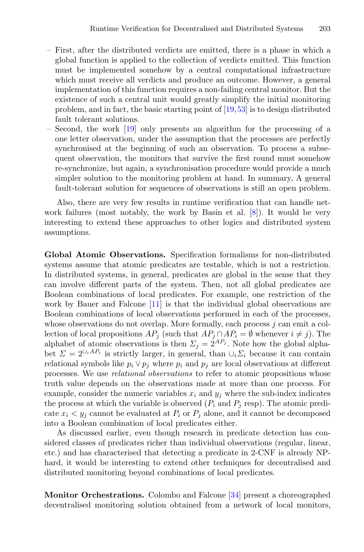- First, after the distributed verdicts are emitted, there is a phase in which a global function is applied to the collection of verdicts emitted. This function must be implemented somehow by a central computational infrastructure which must receive all verdicts and produce an outcome. However, a general implementation of this function requires a non-failing central monitor. But the existence of such a central unit would greatly simplify the initial monitoring problem, and in fact, the basic starting point of [\[19,](#page-30-8)[53\]](#page-32-2) is to design distributed fault tolerant solutions.
- Second, the work [\[19](#page-30-8)] only presents an algorithm for the processing of a one letter observation, under the assumption that the processes are perfectly synchronised at the beginning of such an observation. To process a subsequent observation, the monitors that survive the first round must somehow re-synchronize, but again, a synchronisation procedure would provide a much simpler solution to the monitoring problem at hand. In summary, A general fault-tolerant solution for sequences of observations is still an open problem.

Also, there are very few results in runtime verification that can handle network failures (most notably, the work by Basin et al. [\[8](#page-30-2)]). It would be very interesting to extend these approaches to other logics and distributed system assumptions.

**Global Atomic Observations.** Specification formalisms for non-distributed systems assume that atomic predicates are testable, which is not a restriction. In distributed systems, in general, predicates are global in the sense that they can involve different parts of the system. Then, not all global predicates are Boolean combinations of local predicates. For example, one restriction of the work by Bauer and Falcone [\[11\]](#page-30-3) is that the individual global observations are Boolean combinations of local observations performed in each of the processes, whose observations do not overlap. More formally, each process j can emit a collection of local propositions  $AP_i$  (such that  $AP_i \cap AP_i = \emptyset$  whenever  $i \neq j$ ). The alphabet of atomic observations is then  $\Sigma_i = 2^{AP_j}$ . Note how the global alphabet  $\Sigma = 2^{\cup_i AP_i}$  is strictly larger, in general, than  $\cup_i \Sigma_i$  because it can contain relational symbols like  $p_i \vee p_j$  where  $p_i$  and  $p_j$  are local observations at different processes. We use *relational observations* to refer to atomic propositions whose truth value depends on the observations made at more than one process. For example, consider the numeric variables  $x_i$  and  $y_j$  where the sub-index indicates the process at which the variable is observed  $(P_i \text{ and } P_j \text{ resp})$ . The atomic predicate  $x_i < y_j$  cannot be evaluated at  $P_i$  or  $P_j$  alone, and it cannot be decomposed into a Boolean combination of local predicates either.

As discussed earlier, even though research in predicate detection has considered classes of predicates richer than individual observations (regular, linear, etc.) and has characterised that detecting a predicate in 2-CNF is already NPhard, it would be interesting to extend other techniques for decentralised and distributed monitoring beyond combinations of local predicates.

**Monitor Orchestrations.** Colombo and Falcone [\[34](#page-31-7)] present a choreographed decentralised monitoring solution obtained from a network of local monitors,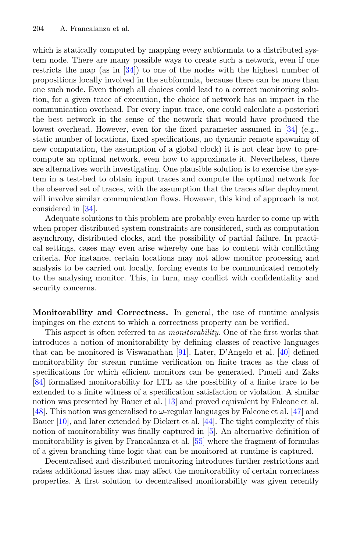which is statically computed by mapping every subformula to a distributed system node. There are many possible ways to create such a network, even if one restricts the map (as in [\[34\]](#page-31-7)) to one of the nodes with the highest number of propositions locally involved in the subformula, because there can be more than one such node. Even though all choices could lead to a correct monitoring solution, for a given trace of execution, the choice of network has an impact in the communication overhead. For every input trace, one could calculate a-posteriori the best network in the sense of the network that would have produced the lowest overhead. However, even for the fixed parameter assumed in  $[34]$  (e.g., static number of locations, fixed specifications, no dynamic remote spawning of new computation, the assumption of a global clock) it is not clear how to precompute an optimal network, even how to approximate it. Nevertheless, there are alternatives worth investigating. One plausible solution is to exercise the system in a test-bed to obtain input traces and compute the optimal network for the observed set of traces, with the assumption that the traces after deployment will involve similar communication flows. However, this kind of approach is not considered in [\[34\]](#page-31-7).

Adequate solutions to this problem are probably even harder to come up with when proper distributed system constraints are considered, such as computation asynchrony, distributed clocks, and the possibility of partial failure. In practical settings, cases may even arise whereby one has to content with conflicting criteria. For instance, certain locations may not allow monitor processing and analysis to be carried out locally, forcing events to be communicated remotely to the analysing monitor. This, in turn, may conflict with confidentiality and security concerns.

**Monitorability and Correctness.** In general, the use of runtime analysis impinges on the extent to which a correctness property can be verified.

This aspect is often referred to as *monitorability*. One of the first works that introduces a notion of monitorability by defining classes of reactive languages that can be monitored is Viswanathan [\[91](#page-34-17)]. Later, D'Angelo et al. [\[40\]](#page-32-12) defined monitorability for stream runtime verification on finite traces as the class of specifications for which efficient monitors can be generated. Pnueli and Zaks [\[84](#page-34-18)] formalised monitorability for LTL as the possibility of a finite trace to be extended to a finite witness of a specification satisfaction or violation. A similar notion was presented by Bauer et al. [\[13\]](#page-30-5) and proved equivalent by Falcone et al. [\[48](#page-32-13)]. This notion was generalised to  $\omega$ -regular languages by Falcone et al. [\[47\]](#page-32-14) and Bauer [\[10\]](#page-30-14), and later extended by Diekert et al. [\[44\]](#page-32-15). The tight complexity of this notion of monitorability was finally captured in [\[5\]](#page-30-15). An alternative definition of monitorability is given by Francalanza et al. [\[55\]](#page-32-11) where the fragment of formulas of a given branching time logic that can be monitored at runtime is captured.

Decentralised and distributed monitoring introduces further restrictions and raises additional issues that may affect the monitorability of certain correctness properties. A first solution to decentralised monitorability was given recently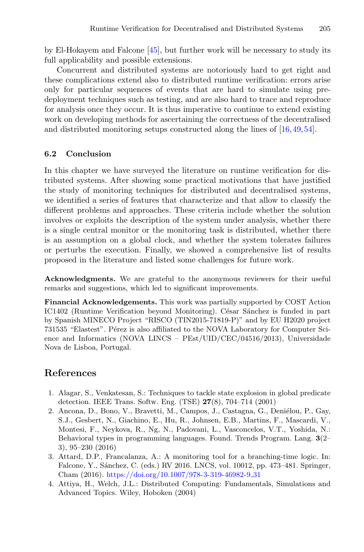by El-Hokayem and Falcone [\[45](#page-32-16)], but further work will be necessary to study its full applicability and possible extensions.

Concurrent and distributed systems are notoriously hard to get right and these complications extend also to distributed runtime verification: errors arise only for particular sequences of events that are hard to simulate using predeployment techniques such as testing, and are also hard to trace and reproduce for analysis once they occur. It is thus imperative to continue to extend existing work on developing methods for ascertaining the correctness of the decentralised and distributed monitoring setups constructed along the lines of [\[16,](#page-30-12)[49](#page-32-1)[,54](#page-32-17)].

## **6.2 Conclusion**

In this chapter we have surveyed the literature on runtime verification for distributed systems. After showing some practical motivations that have justified the study of monitoring techniques for distributed and decentralised systems, we identified a series of features that characterize and that allow to classify the different problems and approaches. These criteria include whether the solution involves or exploits the description of the system under analysis, whether there is a single central monitor or the monitoring task is distributed, whether there is an assumption on a global clock, and whether the system tolerates failures or perturbs the execution. Finally, we showed a comprehensive list of results proposed in the literature and listed some challenges for future work.

**Acknowledgments.** We are grateful to the anonymous reviewers for their useful remarks and suggestions, which led to significant improvements.

**Financial Acknowledgements.** This work was partially supported by COST Action IC1402 (Runtime Verification beyond Monitoring). César Sánchez is funded in part by Spanish MINECO Project "RISCO (TIN2015-71819-P)" and by EU H2020 project 731535 "Elastest". Pérez is also affiliated to the NOVA Laboratory for Computer Science and Informatics (NOVA LINCS – PEst/UID/CEC/04516/2013), Universidade Nova de Lisboa, Portugal.

# **References**

- <span id="page-29-1"></span>1. Alagar, S., Venkatesan, S.: Techniques to tackle state explosion in global predicate detection. IEEE Trans. Softw. Eng. (TSE) **27**(8), 704–714 (2001)
- <span id="page-29-3"></span>2. Ancona, D., Bono, V., Bravetti, M., Campos, J., Castagna, G., Deniélou, P., Gay, S.J., Gesbert, N., Giachino, E., Hu, R., Johnsen, E.B., Martins, F., Mascardi, V., Montesi, F., Neykova, R., Ng, N., Padovani, L., Vasconcelos, V.T., Yoshida, N.: Behavioral types in programming languages. Found. Trends Program. Lang. **3**(2– 3), 95–230 (2016)
- <span id="page-29-2"></span>3. Attard, D.P., Francalanza, A.: A monitoring tool for a branching-time logic. In: Falcone, Y., Sánchez, C. (eds.) RV 2016. LNCS, vol. 10012, pp. 473-481. Springer, Cham (2016). [https://doi.org/10.1007/978-3-319-46982-9](https://doi.org/10.1007/978-3-319-46982-9_31) 31
- <span id="page-29-0"></span>4. Attiya, H., Welch, J.L.: Distributed Computing: Fundamentals, Simulations and Advanced Topics. Wiley, Hoboken (2004)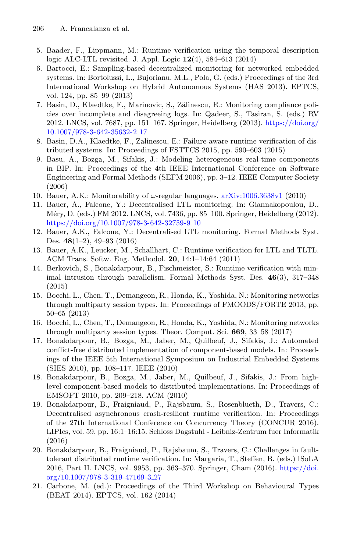- <span id="page-30-15"></span>5. Baader, F., Lippmann, M.: Runtime verification using the temporal description logic ALC-LTL revisited. J. Appl. Logic **12**(4), 584–613 (2014)
- <span id="page-30-7"></span>6. Bartocci, E.: Sampling-based decentralized monitoring for networked embedded systems. In: Bortolussi, L., Bujorianu, M.L., Pola, G. (eds.) Proceedings of the 3rd International Workshop on Hybrid Autonomous Systems (HAS 2013). EPTCS, vol. 124, pp. 85–99 (2013)
- <span id="page-30-1"></span>7. Basin, D., Klaedtke, F., Marinovic, S., Zălinescu, E.: Monitoring compliance policies over incomplete and disagreeing logs. In: Qadeer, S., Tasiran, S. (eds.) RV 2012. LNCS, vol. 7687, pp. 151–167. Springer, Heidelberg (2013). [https://doi.org/](https://doi.org/10.1007/978-3-642-35632-2_17) [10.1007/978-3-642-35632-2](https://doi.org/10.1007/978-3-642-35632-2_17) 17
- <span id="page-30-2"></span>8. Basin, D.A., Klaedtke, F., Zalinescu, E.: Failure-aware runtime verification of distributed systems. In: Proceedings of FSTTCS 2015, pp. 590–603 (2015)
- <span id="page-30-13"></span>9. Basu, A., Bozga, M., Sifakis, J.: Modeling heterogeneous real-time components in BIP. In: Proceedings of the 4th IEEE International Conference on Software Engineering and Formal Methods (SEFM 2006), pp. 3–12. IEEE Computer Society (2006)
- <span id="page-30-14"></span>10. Bauer, A.K.: Monitorability of  $\omega$ -regular languages. [arXiv:1006.3638v1](http://arxiv.org/abs/1006.3638v1) (2010)
- <span id="page-30-3"></span>11. Bauer, A., Falcone, Y.: Decentralised LTL monitoring. In: Giannakopoulou, D., M´ery, D. (eds.) FM 2012. LNCS, vol. 7436, pp. 85–100. Springer, Heidelberg (2012). [https://doi.org/10.1007/978-3-642-32759-9](https://doi.org/10.1007/978-3-642-32759-9_10) 10
- <span id="page-30-6"></span>12. Bauer, A.K., Falcone, Y.: Decentralised LTL monitoring. Formal Methods Syst. Des. **48**(1–2), 49–93 (2016)
- <span id="page-30-5"></span>13. Bauer, A.K., Leucker, M., Schallhart, C.: Runtime verification for LTL and TLTL. ACM Trans. Softw. Eng. Methodol. **20**, 14:1–14:64 (2011)
- <span id="page-30-0"></span>14. Berkovich, S., Bonakdarpour, B., Fischmeister, S.: Runtime verification with minimal intrusion through parallelism. Formal Methods Syst. Des. **46**(3), 317–348 (2015)
- <span id="page-30-11"></span>15. Bocchi, L., Chen, T., Demangeon, R., Honda, K., Yoshida, N.: Monitoring networks through multiparty session types. In: Proceedings of FMOODS/FORTE 2013, pp. 50–65 (2013)
- <span id="page-30-12"></span>16. Bocchi, L., Chen, T., Demangeon, R., Honda, K., Yoshida, N.: Monitoring networks through multiparty session types. Theor. Comput. Sci. **669**, 33–58 (2017)
- <span id="page-30-9"></span>17. Bonakdarpour, B., Bozga, M., Jaber, M., Quilbeuf, J., Sifakis, J.: Automated conflict-free distributed implementation of component-based models. In: Proceedings of the IEEE 5th International Symposium on Industrial Embedded Systems (SIES 2010), pp. 108–117. IEEE (2010)
- <span id="page-30-10"></span>18. Bonakdarpour, B., Bozga, M., Jaber, M., Quilbeuf, J., Sifakis, J.: From highlevel component-based models to distributed implementations. In: Proceedings of EMSOFT 2010, pp. 209–218. ACM (2010)
- <span id="page-30-8"></span>19. Bonakdarpour, B., Fraigniaud, P., Rajsbaum, S., Rosenblueth, D., Travers, C.: Decentralised asynchronous crash-resilient runtime verification. In: Proceedings of the 27th International Conference on Concurrency Theory (CONCUR 2016). LIPIcs, vol. 59, pp. 16:1–16:15. Schloss Dagstuhl - Leibniz-Zentrum fuer Informatik (2016)
- <span id="page-30-4"></span>20. Bonakdarpour, B., Fraigniaud, P., Rajsbaum, S., Travers, C.: Challenges in faulttolerant distributed runtime verification. In: Margaria, T., Steffen, B. (eds.) ISoLA 2016, Part II. LNCS, vol. 9953, pp. 363–370. Springer, Cham (2016). [https://doi.](https://doi.org/10.1007/978-3-319-47169-3_27) [org/10.1007/978-3-319-47169-3](https://doi.org/10.1007/978-3-319-47169-3_27) 27
- 21. Carbone, M. (ed.): Proceedings of the Third Workshop on Behavioural Types (BEAT 2014). EPTCS, vol. 162 (2014)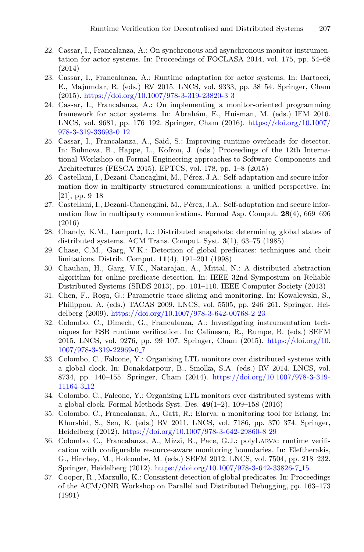- <span id="page-31-11"></span>22. Cassar, I., Francalanza, A.: On synchronous and asynchronous monitor instrumentation for actor systems. In: Proceedings of FOCLASA 2014, vol. 175, pp. 54–68 (2014)
- <span id="page-31-2"></span>23. Cassar, I., Francalanza, A.: Runtime adaptation for actor systems. In: Bartocci, E., Majumdar, R. (eds.) RV 2015. LNCS, vol. 9333, pp. 38–54. Springer, Cham (2015). [https://doi.org/10.1007/978-3-319-23820-3](https://doi.org/10.1007/978-3-319-23820-3_3) 3
- <span id="page-31-3"></span>24. Cassar, I., Francalanza, A.: On implementing a monitor-oriented programming framework for actor systems. In: Ábrahám, E., Huisman, M. (eds.) IFM 2016. LNCS, vol. 9681, pp. 176–192. Springer, Cham (2016). [https://doi.org/10.1007/](https://doi.org/10.1007/978-3-319-33693-0_12) [978-3-319-33693-0](https://doi.org/10.1007/978-3-319-33693-0_12) 12
- <span id="page-31-4"></span>25. Cassar, I., Francalanza, A., Said, S.: Improving runtime overheads for detector. In: Buhnova, B., Happe, L., Kofron, J. (eds.) Proceedings of the 12th International Workshop on Formal Engineering approaches to Software Components and Architectures (FESCA 2015). EPTCS, vol. 178, pp. 1–8 (2015)
- <span id="page-31-13"></span>26. Castellani, I., Dezani-Ciancaglini, M., Pérez, J.A.: Self-adaptation and secure information flow in multiparty structured communications: a unified perspective. In: [21], pp. 9–18
- <span id="page-31-14"></span>27. Castellani, I., Dezani-Ciancaglini, M., Pérez, J.A.: Self-adaptation and secure information flow in multiparty communications. Formal Asp. Comput. **28**(4), 669–696 (2016)
- <span id="page-31-15"></span>28. Chandy, K.M., Lamport, L.: Distributed snapshots: determining global states of distributed systems. ACM Trans. Comput. Syst. **3**(1), 63–75 (1985)
- <span id="page-31-10"></span>29. Chase, C.M., Garg, V.K.: Detection of global predicates: techniques and their limitations. Distrib. Comput. **11**(4), 191–201 (1998)
- <span id="page-31-1"></span>30. Chauhan, H., Garg, V.K., Natarajan, A., Mittal, N.: A distributed abstraction algorithm for online predicate detection. In: IEEE 32nd Symposium on Reliable Distributed Systems (SRDS 2013), pp. 101–110. IEEE Computer Society (2013)
- <span id="page-31-8"></span>31. Chen, F., Roşu, G.: Parametric trace slicing and monitoring. In: Kowalewski, S., Philippou, A. (eds.) TACAS 2009. LNCS, vol. 5505, pp. 246–261. Springer, Heidelberg (2009). [https://doi.org/10.1007/978-3-642-00768-2](https://doi.org/10.1007/978-3-642-00768-2_23) 23
- <span id="page-31-6"></span>32. Colombo, C., Dimech, G., Francalanza, A.: Investigating instrumentation techniques for ESB runtime verification. In: Calinescu, R., Rumpe, B. (eds.) SEFM 2015. LNCS, vol. 9276, pp. 99–107. Springer, Cham (2015). [https://doi.org/10.](https://doi.org/10.1007/978-3-319-22969-0_7) [1007/978-3-319-22969-0](https://doi.org/10.1007/978-3-319-22969-0_7) 7
- <span id="page-31-9"></span>33. Colombo, C., Falcone, Y.: Organising LTL monitors over distributed systems with a global clock. In: Bonakdarpour, B., Smolka, S.A. (eds.) RV 2014. LNCS, vol. 8734, pp. 140–155. Springer, Cham (2014). [https://doi.org/10.1007/978-3-319-](https://doi.org/10.1007/978-3-319-11164-3_12) [11164-3](https://doi.org/10.1007/978-3-319-11164-3_12) 12
- <span id="page-31-7"></span>34. Colombo, C., Falcone, Y.: Organising LTL monitors over distributed systems with a global clock. Formal Methods Syst. Des. **49**(1–2), 109–158 (2016)
- <span id="page-31-12"></span>35. Colombo, C., Francalanza, A., Gatt, R.: Elarva: a monitoring tool for Erlang. In: Khurshid, S., Sen, K. (eds.) RV 2011. LNCS, vol. 7186, pp. 370–374. Springer, Heidelberg (2012). [https://doi.org/10.1007/978-3-642-29860-8](https://doi.org/10.1007/978-3-642-29860-8_29) 29
- <span id="page-31-5"></span>36. Colombo, C., Francalanza, A., Mizzi, R., Pace, G.J.: polyLarva: runtime verification with configurable resource-aware monitoring boundaries. In: Eleftherakis, G., Hinchey, M., Holcombe, M. (eds.) SEFM 2012. LNCS, vol. 7504, pp. 218–232. Springer, Heidelberg (2012). [https://doi.org/10.1007/978-3-642-33826-7](https://doi.org/10.1007/978-3-642-33826-7_15) 15
- <span id="page-31-0"></span>37. Cooper, R., Marzullo, K.: Consistent detection of global predicates. In: Proceedings of the ACM/ONR Workshop on Parallel and Distributed Debugging, pp. 163–173 (1991)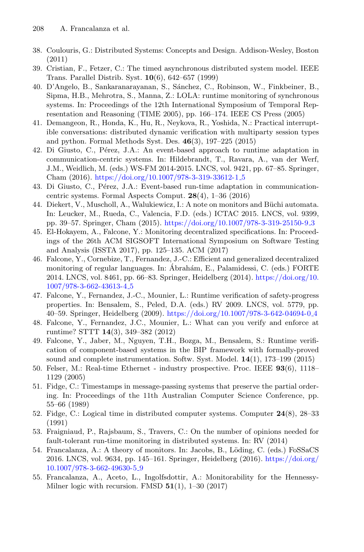- <span id="page-32-0"></span>38. Coulouris, G.: Distributed Systems: Concepts and Design. Addison-Wesley, Boston (2011)
- <span id="page-32-10"></span>39. Cristian, F., Fetzer, C.: The timed asynchronous distributed system model. IEEE Trans. Parallel Distrib. Syst. **10**(6), 642–657 (1999)
- <span id="page-32-12"></span>40. D'Angelo, B., Sankaranarayanan, S., S´anchez, C., Robinson, W., Finkbeiner, B., Sipma, H.B., Mehrotra, S., Manna, Z.: LOLA: runtime monitoring of synchronous systems. In: Proceedings of the 12th International Symposium of Temporal Representation and Reasoning (TIME 2005), pp. 166–174. IEEE CS Press (2005)
- <span id="page-32-4"></span>41. Demangeon, R., Honda, K., Hu, R., Neykova, R., Yoshida, N.: Practical interruptible conversations: distributed dynamic verification with multiparty session types and python. Formal Methods Syst. Des. **46**(3), 197–225 (2015)
- <span id="page-32-5"></span>42. Di Giusto, C., Pérez, J.A.: An event-based approach to runtime adaptation in communication-centric systems. In: Hildebrandt, T., Ravara, A., van der Werf, J.M., Weidlich, M. (eds.) WS-FM 2014-2015. LNCS, vol. 9421, pp. 67–85. Springer, Cham (2016). [https://doi.org/10.1007/978-3-319-33612-1](https://doi.org/10.1007/978-3-319-33612-1_5) 5
- <span id="page-32-6"></span>43. Di Giusto, C., Pérez, J.A.: Event-based run-time adaptation in communicationcentric systems. Formal Aspects Comput. **28**(4), 1–36 (2016)
- <span id="page-32-15"></span>44. Diekert, V., Muscholl, A., Walukiewicz, I.: A note on monitors and Büchi automata. In: Leucker, M., Rueda, C., Valencia, F.D. (eds.) ICTAC 2015. LNCS, vol. 9399, pp. 39–57. Springer, Cham (2015). [https://doi.org/10.1007/978-3-319-25150-9](https://doi.org/10.1007/978-3-319-25150-9_3) 3
- <span id="page-32-16"></span>45. El-Hokayem, A., Falcone, Y.: Monitoring decentralized specifications. In: Proceedings of the 26th ACM SIGSOFT International Symposium on Software Testing and Analysis (ISSTA 2017), pp. 125–135. ACM (2017)
- <span id="page-32-3"></span>46. Falcone, Y., Cornebize, T., Fernandez, J.-C.: Efficient and generalized decentralized monitoring of regular languages. In: Abrahám, E., Palamidessi, C. (eds.) FORTE 2014. LNCS, vol. 8461, pp. 66–83. Springer, Heidelberg (2014). [https://doi.org/10.](https://doi.org/10.1007/978-3-662-43613-4_5) [1007/978-3-662-43613-4](https://doi.org/10.1007/978-3-662-43613-4_5) 5
- <span id="page-32-14"></span>47. Falcone, Y., Fernandez, J.-C., Mounier, L.: Runtime verification of safety-progress properties. In: Bensalem, S., Peled, D.A. (eds.) RV 2009. LNCS, vol. 5779, pp. 40–59. Springer, Heidelberg (2009). [https://doi.org/10.1007/978-3-642-04694-0](https://doi.org/10.1007/978-3-642-04694-0_4) 4
- <span id="page-32-13"></span>48. Falcone, Y., Fernandez, J.C., Mounier, L.: What can you verify and enforce at runtime? STTT **14**(3), 349–382 (2012)
- <span id="page-32-1"></span>49. Falcone, Y., Jaber, M., Nguyen, T.H., Bozga, M., Bensalem, S.: Runtime verification of component-based systems in the BIP framework with formally-proved sound and complete instrumentation. Softw. Syst. Model. **14**(1), 173–199 (2015)
- <span id="page-32-7"></span>50. Felser, M.: Real-time Ethernet - industry prospective. Proc. IEEE **93**(6), 1118– 1129 (2005)
- <span id="page-32-8"></span>51. Fidge, C.: Timestamps in message-passing systems that preserve the partial ordering. In: Proceedings of the 11th Australian Computer Science Conference, pp. 55–66 (1989)
- <span id="page-32-9"></span>52. Fidge, C.: Logical time in distributed computer systems. Computer **24**(8), 28–33 (1991)
- <span id="page-32-2"></span>53. Fraigniaud, P., Rajsbaum, S., Travers, C.: On the number of opinions needed for fault-tolerant run-time monitoring in distributed systems. In: RV (2014)
- <span id="page-32-17"></span>54. Francalanza, A.: A theory of monitors. In: Jacobs, B., Löding, C. (eds.) FoSSaCS 2016. LNCS, vol. 9634, pp. 145–161. Springer, Heidelberg (2016). [https://doi.org/](https://doi.org/10.1007/978-3-662-49630-5_9) [10.1007/978-3-662-49630-5](https://doi.org/10.1007/978-3-662-49630-5_9) 9
- <span id="page-32-11"></span>55. Francalanza, A., Aceto, L., Ingolfsdottir, A.: Monitorability for the Hennessy-Milner logic with recursion. FMSD **51**(1), 1–30 (2017)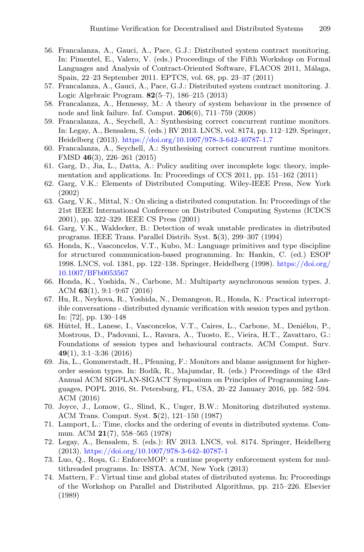- <span id="page-33-7"></span>56. Francalanza, A., Gauci, A., Pace, G.J.: Distributed system contract monitoring. In: Pimentel, E., Valero, V. (eds.) Proceedings of the Fifth Workshop on Formal Languages and Analysis of Contract-Oriented Software, FLACOS 2011, Málaga, Spain, 22–23 September 2011. EPTCS, vol. 68, pp. 23–37 (2011)
- <span id="page-33-4"></span>57. Francalanza, A., Gauci, A., Pace, G.J.: Distributed system contract monitoring. J. Logic Algebraic Program. **82**(5–7), 186–215 (2013)
- <span id="page-33-3"></span>58. Francalanza, A., Hennessy, M.: A theory of system behaviour in the presence of node and link failure. Inf. Comput. **206**(6), 711–759 (2008)
- <span id="page-33-1"></span>59. Francalanza, A., Seychell, A.: Synthesising correct concurrent runtime monitors. In: Legay, A., Bensalem, S. (eds.) RV 2013. LNCS, vol. 8174, pp. 112–129. Springer, Heidelberg (2013). [https://doi.org/10.1007/978-3-642-40787-1](https://doi.org/10.1007/978-3-642-40787-1_7) 7
- <span id="page-33-2"></span>60. Francalanza, A., Seychell, A.: Synthesising correct concurrent runtime monitors. FMSD **46**(3), 226–261 (2015)
- <span id="page-33-14"></span>61. Garg, D., Jia, L., Datta, A.: Policy auditing over incomplete logs: theory, implementation and applications. In: Proceedings of CCS 2011, pp. 151–162 (2011)
- <span id="page-33-0"></span>62. Garg, V.K.: Elements of Distributed Computing. Wiley-IEEE Press, New York (2002)
- <span id="page-33-9"></span>63. Garg, V.K., Mittal, N.: On slicing a distributed computation. In: Proceedings of the 21st IEEE International Conference on Distributed Computing Systems (ICDCS 2001), pp. 322–329. IEEE CS Press (2001)
- <span id="page-33-8"></span>64. Garg, V.K., Waldecker, B.: Detection of weak unstable predicates in distributed programs. IEEE Trans. Parallel Distrib. Syst. **5**(3), 299–307 (1994)
- <span id="page-33-16"></span>65. Honda, K., Vasconcelos, V.T., Kubo, M.: Language primitives and type discipline for structured communication-based programming. In: Hankin, C. (ed.) ESOP 1998. LNCS, vol. 1381, pp. 122–138. Springer, Heidelberg (1998). [https://doi.org/](https://doi.org/10.1007/BFb0053567) [10.1007/BFb0053567](https://doi.org/10.1007/BFb0053567)
- <span id="page-33-17"></span>66. Honda, K., Yoshida, N., Carbone, M.: Multiparty asynchronous session types. J. ACM **63**(1), 9:1–9:67 (2016)
- <span id="page-33-10"></span>67. Hu, R., Neykova, R., Yoshida, N., Demangeon, R., Honda, K.: Practical interruptible conversations - distributed dynamic verification with session types and python. In: [72], pp. 130–148
- <span id="page-33-15"></span>68. Hüttel, H., Lanese, I., Vasconcelos, V.T., Caires, L., Carbone, M., Deniélou, P., Mostrous, D., Padovani, L., Ravara, A., Tuosto, E., Vieira, H.T., Zavattaro, G.: Foundations of session types and behavioural contracts. ACM Comput. Surv. **49**(1), 3:1–3:36 (2016)
- <span id="page-33-11"></span>69. Jia, L., Gommerstadt, H., Pfenning, F.: Monitors and blame assignment for higherorder session types. In: Bodík, R., Majumdar, R. (eds.) Proceedings of the 43rd Annual ACM SIGPLAN-SIGACT Symposium on Principles of Programming Languages, POPL 2016, St. Petersburg, FL, USA, 20–22 January 2016, pp. 582–594. ACM (2016)
- <span id="page-33-6"></span>70. Joyce, J., Lomow, G., Slind, K., Unger, B.W.: Monitoring distributed systems. ACM Trans. Comput. Syst. **5**(2), 121–150 (1987)
- <span id="page-33-12"></span>71. Lamport, L.: Time, clocks and the ordering of events in distributed systems. Commun. ACM **21**(7), 558–565 (1978)
- 72. Legay, A., Bensalem, S. (eds.): RV 2013. LNCS, vol. 8174. Springer, Heidelberg (2013). <https://doi.org/10.1007/978-3-642-40787-1>
- <span id="page-33-5"></span>73. Luo, Q., Roşu, G.: EnforceMOP: a runtime property enforcement system for multithreaded programs. In: ISSTA. ACM, New York (2013)
- <span id="page-33-13"></span>74. Mattern, F.: Virtual time and global states of distributed systems. In: Proceedings of the Workshop on Parallel and Distributed Algorithms, pp. 215–226. Elsevier (1989)